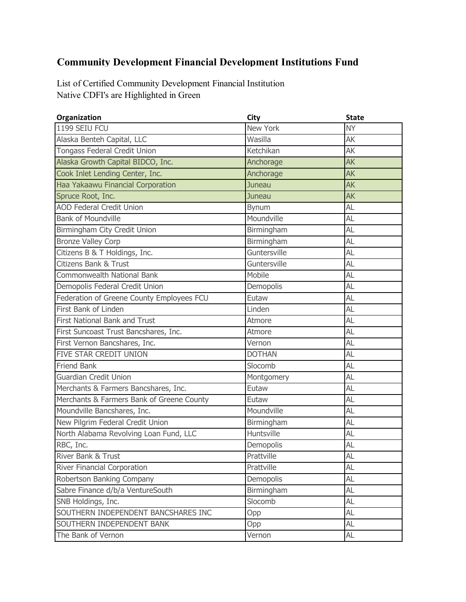## **Community Development Financial Development Institutions Fund**

Native CDFI's are Highlighted in Green List of Certified Community Development Financial Institution

| Organization                              | City          | <b>State</b> |
|-------------------------------------------|---------------|--------------|
| 1199 SEIU FCU                             | New York      | <b>NY</b>    |
| Alaska Benteh Capital, LLC                | Wasilla       | AK           |
| <b>Tongass Federal Credit Union</b>       | Ketchikan     | AK           |
| Alaska Growth Capital BIDCO, Inc.         | Anchorage     | <b>AK</b>    |
| Cook Inlet Lending Center, Inc.           | Anchorage     | <b>AK</b>    |
| Haa Yakaawu Financial Corporation         | Juneau        | <b>AK</b>    |
| Spruce Root, Inc.                         | Juneau        | <b>AK</b>    |
| <b>AOD Federal Credit Union</b>           | Bynum         | AL           |
| <b>Bank of Moundville</b>                 | Moundville    | AL           |
| Birmingham City Credit Union              | Birmingham    | AL           |
| <b>Bronze Valley Corp</b>                 | Birmingham    | AL           |
| Citizens B & T Holdings, Inc.             | Guntersville  | AL           |
| <b>Citizens Bank &amp; Trust</b>          | Guntersville  | AL           |
| <b>Commonwealth National Bank</b>         | Mobile        | AL           |
| Demopolis Federal Credit Union            | Demopolis     | AL           |
| Federation of Greene County Employees FCU | Eutaw         | AL           |
| First Bank of Linden                      | Linden        | AL           |
| <b>First National Bank and Trust</b>      | Atmore        | AL           |
| First Suncoast Trust Bancshares, Inc.     | Atmore        | AL           |
| First Vernon Bancshares, Inc.             | Vernon        | AL           |
| FIVE STAR CREDIT UNION                    | <b>DOTHAN</b> | AL           |
| <b>Friend Bank</b>                        | Slocomb       | AL           |
| <b>Guardian Credit Union</b>              | Montgomery    | AL           |
| Merchants & Farmers Bancshares, Inc.      | Eutaw         | AL           |
| Merchants & Farmers Bank of Greene County | Eutaw         | AL           |
| Moundville Bancshares, Inc.               | Moundville    | AL           |
| New Pilgrim Federal Credit Union          | Birmingham    | AL           |
| North Alabama Revolving Loan Fund, LLC    | Huntsville    | AL           |
| RBC, Inc.                                 | Demopolis     | AL           |
| River Bank & Trust                        | Prattville    | AL           |
| River Financial Corporation               | Prattville    | AL           |
| Robertson Banking Company                 | Demopolis     | AL           |
| Sabre Finance d/b/a VentureSouth          | Birmingham    | AL           |
| SNB Holdings, Inc.                        | Slocomb       | AL           |
| SOUTHERN INDEPENDENT BANCSHARES INC       | Opp           | AL           |
| SOUTHERN INDEPENDENT BANK                 | Opp           | AL           |
| The Bank of Vernon                        | Vernon        | AL           |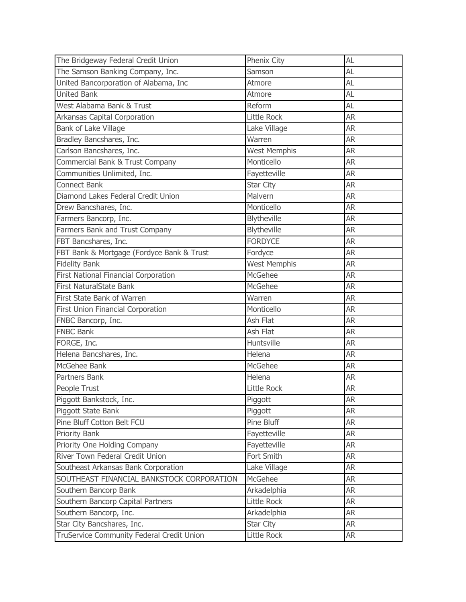| The Bridgeway Federal Credit Union          | Phenix City         | AL        |
|---------------------------------------------|---------------------|-----------|
| The Samson Banking Company, Inc.            | Samson              | AL        |
| United Bancorporation of Alabama, Inc       | Atmore              | AL        |
| <b>United Bank</b>                          | Atmore              | AL        |
| West Alabama Bank & Trust                   | Reform              | AL        |
| Arkansas Capital Corporation                | Little Rock         | <b>AR</b> |
| Bank of Lake Village                        | Lake Village        | <b>AR</b> |
| Bradley Bancshares, Inc.                    | Warren              | <b>AR</b> |
| Carlson Bancshares, Inc.                    | <b>West Memphis</b> | <b>AR</b> |
| Commercial Bank & Trust Company             | Monticello          | <b>AR</b> |
| Communities Unlimited, Inc.                 | Fayetteville        | <b>AR</b> |
| <b>Connect Bank</b>                         | Star City           | <b>AR</b> |
| Diamond Lakes Federal Credit Union          | Malvern             | <b>AR</b> |
| Drew Bancshares, Inc.                       | Monticello          | <b>AR</b> |
| Farmers Bancorp, Inc.                       | Blytheville         | <b>AR</b> |
| Farmers Bank and Trust Company              | Blytheville         | <b>AR</b> |
| FBT Bancshares, Inc.                        | <b>FORDYCE</b>      | <b>AR</b> |
| FBT Bank & Mortgage (Fordyce Bank & Trust   | Fordyce             | <b>AR</b> |
| <b>Fidelity Bank</b>                        | <b>West Memphis</b> | <b>AR</b> |
| <b>First National Financial Corporation</b> | McGehee             | <b>AR</b> |
| <b>First NaturalState Bank</b>              | McGehee             | <b>AR</b> |
| First State Bank of Warren                  | Warren              | <b>AR</b> |
| First Union Financial Corporation           | Monticello          | <b>AR</b> |
| FNBC Bancorp, Inc.                          | Ash Flat            | <b>AR</b> |
| <b>FNBC Bank</b>                            | Ash Flat            | <b>AR</b> |
| FORGE, Inc.                                 | Huntsville          | <b>AR</b> |
| Helena Bancshares, Inc.                     | Helena              | <b>AR</b> |
| McGehee Bank                                | McGehee             | <b>AR</b> |
| Partners Bank                               | Helena              | <b>AR</b> |
| People Trust                                | Little Rock         | <b>AR</b> |
| Piggott Bankstock, Inc.                     | Piggott             | <b>AR</b> |
| Piggott State Bank                          | Piggott             | <b>AR</b> |
| Pine Bluff Cotton Belt FCU                  | Pine Bluff          | <b>AR</b> |
| <b>Priority Bank</b>                        | Fayetteville        | <b>AR</b> |
| Priority One Holding Company                | Fayetteville        | <b>AR</b> |
| River Town Federal Credit Union             | Fort Smith          | <b>AR</b> |
| Southeast Arkansas Bank Corporation         | Lake Village        | <b>AR</b> |
| SOUTHEAST FINANCIAL BANKSTOCK CORPORATION   | McGehee             | <b>AR</b> |
| Southern Bancorp Bank                       | Arkadelphia         | <b>AR</b> |
| Southern Bancorp Capital Partners           | Little Rock         | <b>AR</b> |
| Southern Bancorp, Inc.                      | Arkadelphia         | <b>AR</b> |
| Star City Bancshares, Inc.                  | Star City           | <b>AR</b> |
| TruService Community Federal Credit Union   | Little Rock         | <b>AR</b> |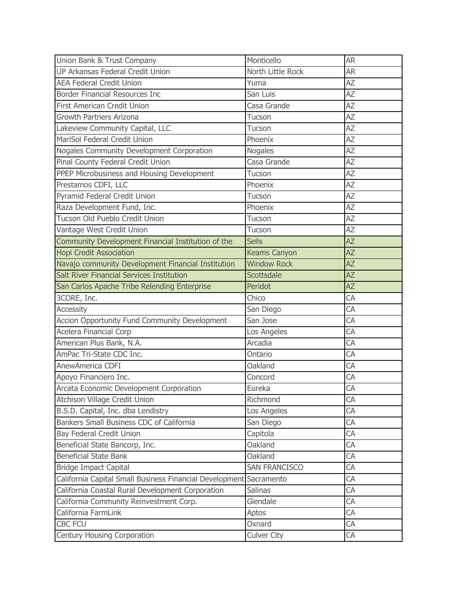| Union Bank & Trust Company                                         | Monticello           | <b>AR</b>       |
|--------------------------------------------------------------------|----------------------|-----------------|
| UP Arkansas Federal Credit Union                                   | North Little Rock    | <b>AR</b>       |
| <b>AEA Federal Credit Union</b>                                    | Yuma                 | <b>AZ</b>       |
| Border Financial Resources Inc                                     | San Luis             | AZ              |
| First American Credit Union                                        | Casa Grande          | AZ              |
| Growth Partners Arizona                                            | Tucson               | AΖ              |
| Lakeview Community Capital, LLC                                    | Tucson               | AZ              |
| MariSol Federal Credit Union                                       | Phoenix              | AZ              |
| Nogales Community Development Corporation                          | <b>Nogales</b>       | AZ              |
| Pinal County Federal Credit Union                                  | Casa Grande          | AZ              |
| PPEP Microbusiness and Housing Development                         | Tucson               | AZ              |
| Prestamos CDFI, LLC                                                | Phoenix              | AZ              |
| Pyramid Federal Credit Union                                       | Tucson               | AZ              |
| Raza Development Fund, Inc.                                        | Phoenix              | AZ              |
| Tucson Old Pueblo Credit Union                                     | Tucson               | AZ              |
| Vantage West Credit Union                                          | Tucson               | AZ              |
| Community Development Financial Institution of the                 | <b>Sells</b>         | $\overline{AZ}$ |
| <b>Hopi Credit Association</b>                                     | <b>Keams Canyon</b>  | <b>AZ</b>       |
| Navajo community Development Financial Institution                 | <b>Window Rock</b>   | $\overline{AZ}$ |
| Salt River Financial Services Institution                          | <b>Scottsdale</b>    | <b>AZ</b>       |
| San Carlos Apache Tribe Relending Enterprise                       | Peridot              | <b>AZ</b>       |
| 3CORE, Inc.                                                        | Chico                | CA              |
| <b>Accessity</b>                                                   | San Diego            | CA              |
| Accion Opportunity Fund Community Development                      | San Jose             | CA              |
| Acelera Financial Corp                                             | Los Angeles          | CA              |
| American Plus Bank, N.A.                                           | Arcadia              | CA              |
| AmPac Tri-State CDC Inc.                                           | Ontario              | CA              |
| AnewAmerica CDFI                                                   | Oakland              | CA              |
| Apoyo Financiero Inc.                                              | Concord              | CA              |
| Arcata Economic Development Corporation                            | Eureka               | CA              |
| Atchison Village Credit Union                                      | Richmond             | CA              |
| B.S.D. Capital, Inc. dba Lendistry                                 | Los Angeles          | CA              |
| Bankers Small Business CDC of California                           | San Diego            | CA              |
| Bay Federal Credit Union                                           | Capitola             | CA              |
| Beneficial State Bancorp, Inc.                                     | Oakland              | СA              |
| <b>Beneficial State Bank</b>                                       | Oakland              | СA              |
| <b>Bridge Impact Capital</b>                                       | <b>SAN FRANCISCO</b> | СA              |
| California Capital Small Business Financial Development Sacramento |                      | CA              |
| California Coastal Rural Development Corporation                   | <b>Salinas</b>       | СA              |
| California Community Reinvestment Corp.                            | Glendale             | CA              |
| California FarmLink                                                | Aptos                | СA              |
| CBC FCU                                                            | Oxnard               | CA              |
| Century Housing Corporation                                        | Culver City          | СA              |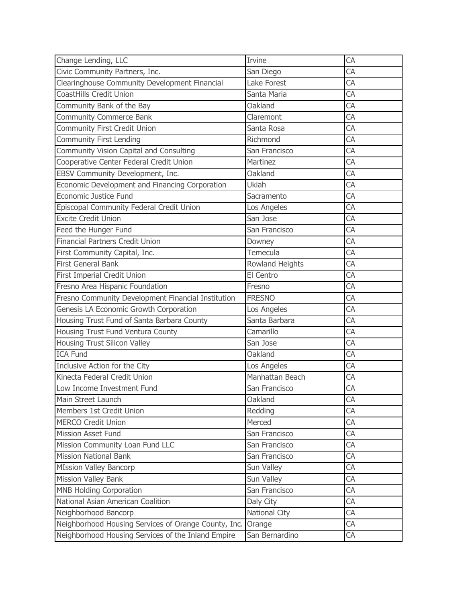| Change Lending, LLC                                         | Irvine          | CA              |
|-------------------------------------------------------------|-----------------|-----------------|
| Civic Community Partners, Inc.                              | San Diego       | CA              |
| Clearinghouse Community Development Financial               | Lake Forest     | CA              |
| CoastHills Credit Union                                     | Santa Maria     | CA              |
| Community Bank of the Bay                                   | Oakland         | CA              |
| <b>Community Commerce Bank</b>                              | Claremont       | CA              |
| Community First Credit Union                                | Santa Rosa      | CA              |
| <b>Community First Lending</b>                              | Richmond        | CA              |
| Community Vision Capital and Consulting                     | San Francisco   | CA              |
| Cooperative Center Federal Credit Union                     | Martinez        | CA              |
| EBSV Community Development, Inc.                            | Oakland         | $\overline{CA}$ |
| Economic Development and Financing Corporation              | Ukiah           | CA              |
| Economic Justice Fund                                       | Sacramento      | CA              |
| Episcopal Community Federal Credit Union                    | Los Angeles     | CA              |
| <b>Excite Credit Union</b>                                  | San Jose        | CA              |
| Feed the Hunger Fund                                        | San Francisco   | CA              |
| <b>Financial Partners Credit Union</b>                      | Downey          | <b>CA</b>       |
| First Community Capital, Inc.                               | Temecula        | CA              |
| <b>First General Bank</b>                                   | Rowland Heights | <b>CA</b>       |
| First Imperial Credit Union                                 | El Centro       | CA              |
| Fresno Area Hispanic Foundation                             | Fresno          | CA              |
| Fresno Community Development Financial Institution          | <b>FRESNO</b>   | CA              |
| Genesis LA Economic Growth Corporation                      | Los Angeles     | CA              |
| Housing Trust Fund of Santa Barbara County                  | Santa Barbara   | CA              |
| Housing Trust Fund Ventura County                           | Camarillo       | CA              |
| Housing Trust Silicon Valley                                | San Jose        | CA              |
| <b>ICA Fund</b>                                             | Oakland         | CA              |
| Inclusive Action for the City                               | Los Angeles     | CA              |
| Kinecta Federal Credit Union                                | Manhattan Beach | CA              |
| Low Income Investment Fund                                  | San Francisco   | CA              |
| Main Street Launch                                          | Oakland         | CA              |
| Members 1st Credit Union                                    | Redding         | CA              |
| <b>MERCO Credit Union</b>                                   | Merced          | CA              |
| <b>Mission Asset Fund</b>                                   | San Francisco   | CA              |
| Mission Community Loan Fund LLC                             | San Francisco   | CA              |
| <b>Mission National Bank</b>                                | San Francisco   | CA              |
| <b>MIssion Valley Bancorp</b>                               | Sun Valley      | СA              |
| Mission Valley Bank                                         | Sun Valley      | CA              |
| <b>MNB Holding Corporation</b>                              | San Francisco   | СA              |
| National Asian American Coalition                           | Daly City       | CA              |
| Neighborhood Bancorp                                        | National City   | CA              |
| Neighborhood Housing Services of Orange County, Inc. Orange |                 | CA              |
| Neighborhood Housing Services of the Inland Empire          | San Bernardino  | CA              |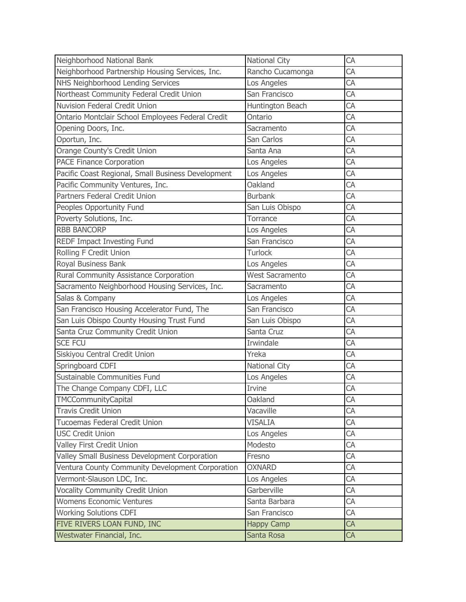| Neighborhood National Bank                         | <b>National City</b>   | CA              |
|----------------------------------------------------|------------------------|-----------------|
| Neighborhood Partnership Housing Services, Inc.    | Rancho Cucamonga       | CA              |
| NHS Neighborhood Lending Services                  | Los Angeles            | CA              |
| Northeast Community Federal Credit Union           | San Francisco          | CA              |
| <b>Nuvision Federal Credit Union</b>               | Huntington Beach       | CA              |
| Ontario Montclair School Employees Federal Credit  | Ontario                | CA              |
| Opening Doors, Inc.                                | Sacramento             | CA              |
| Oportun, Inc.                                      | San Carlos             | CA              |
| Orange County's Credit Union                       | Santa Ana              | CA              |
| <b>PACE Finance Corporation</b>                    | Los Angeles            | CA              |
| Pacific Coast Regional, Small Business Development | Los Angeles            | CA              |
| Pacific Community Ventures, Inc.                   | Oakland                | CA              |
| Partners Federal Credit Union                      | <b>Burbank</b>         | CA              |
| Peoples Opportunity Fund                           | San Luis Obispo        | CA              |
| Poverty Solutions, Inc.                            | Torrance               | CA              |
| <b>RBB BANCORP</b>                                 | Los Angeles            | CA              |
| REDF Impact Investing Fund                         | San Francisco          | CA              |
| Rolling F Credit Union                             | <b>Turlock</b>         | CA              |
| Royal Business Bank                                | Los Angeles            | CA              |
| Rural Community Assistance Corporation             | <b>West Sacramento</b> | CA              |
| Sacramento Neighborhood Housing Services, Inc.     | Sacramento             | CA              |
| Salas & Company                                    | Los Angeles            | CA              |
| San Francisco Housing Accelerator Fund, The        | San Francisco          | $\overline{CA}$ |
| San Luis Obispo County Housing Trust Fund          | San Luis Obispo        | CA              |
| Santa Cruz Community Credit Union                  | Santa Cruz             | CA              |
| <b>SCE FCU</b>                                     | Irwindale              | CA              |
| Siskiyou Central Credit Union                      | Yreka                  | CA              |
| Springboard CDFI                                   | National City          | CA              |
| Sustainable Communities Fund                       | Los Angeles            | CA              |
| The Change Company CDFI, LLC                       | Irvine                 | CA              |
| <b>TMCCommunityCapital</b>                         | Oakland                | CA              |
| <b>Travis Credit Union</b>                         | Vacaville              | CA              |
| Tucoemas Federal Credit Union                      | <b>VISALIA</b>         | CA              |
| <b>USC Credit Union</b>                            | Los Angeles            | CA              |
| Valley First Credit Union                          | Modesto                | CA              |
| Valley Small Business Development Corporation      | Fresno                 | CA              |
| Ventura County Community Development Corporation   | <b>OXNARD</b>          | CA              |
| Vermont-Slauson LDC, Inc.                          | Los Angeles            | CA              |
| <b>Vocality Community Credit Union</b>             | Garberville            | CA              |
| <b>Womens Economic Ventures</b>                    | Santa Barbara          | CA              |
| <b>Working Solutions CDFI</b>                      | San Francisco          | CA              |
| FIVE RIVERS LOAN FUND, INC                         | <b>Happy Camp</b>      | CA              |
| Westwater Financial, Inc.                          | Santa Rosa             | CA              |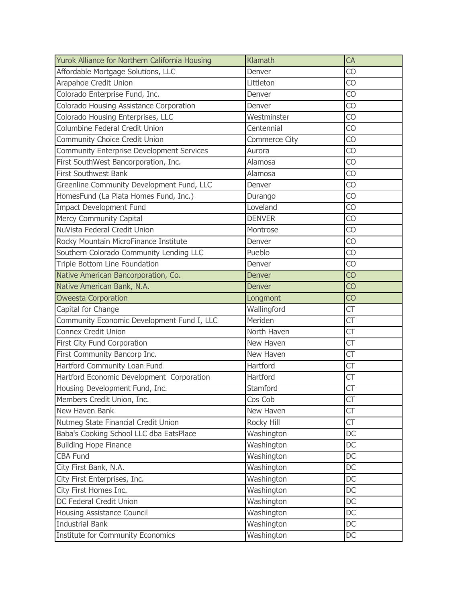| Yurok Alliance for Northern California Housing   | Klamath       | CA        |
|--------------------------------------------------|---------------|-----------|
| Affordable Mortgage Solutions, LLC               | Denver        | CO        |
| Arapahoe Credit Union                            | Littleton     | CO        |
| Colorado Enterprise Fund, Inc.                   | Denver        | CO        |
| Colorado Housing Assistance Corporation          | Denver        | CO        |
| Colorado Housing Enterprises, LLC                | Westminster   | CO        |
| Columbine Federal Credit Union                   | Centennial    | CO        |
| Community Choice Credit Union                    | Commerce City | CO        |
| <b>Community Enterprise Development Services</b> | Aurora        | CO        |
| First SouthWest Bancorporation, Inc.             | Alamosa       | CO        |
| First Southwest Bank                             | Alamosa       | CO        |
| Greenline Community Development Fund, LLC        | Denver        | CO        |
| HomesFund (La Plata Homes Fund, Inc.)            | Durango       | CO        |
| <b>Impact Development Fund</b>                   | Loveland      | CO        |
| Mercy Community Capital                          | <b>DENVER</b> | CO        |
| NuVista Federal Credit Union                     | Montrose      | CO        |
| Rocky Mountain MicroFinance Institute            | Denver        | CO        |
| Southern Colorado Community Lending LLC          | Pueblo        | <b>CO</b> |
| Triple Bottom Line Foundation                    | Denver        | CO        |
| Native American Bancorporation, Co.              | Denver        | <b>CO</b> |
| Native American Bank, N.A.                       | <b>Denver</b> | CO        |
| <b>Oweesta Corporation</b>                       | Longmont      | CO        |
| Capital for Change                               | Wallingford   | СT        |
| Community Economic Development Fund I, LLC       | Meriden       | СT        |
| Connex Credit Union                              | North Haven   | СT        |
| First City Fund Corporation                      | New Haven     | СT        |
| First Community Bancorp Inc.                     | New Haven     | СT        |
| Hartford Community Loan Fund                     | Hartford      | СT        |
| Hartford Economic Development Corporation        | Hartford      | СT        |
| Housing Development Fund, Inc.                   | Stamford      | СT        |
| Members Credit Union, Inc.                       | Cos Cob       | СT        |
| New Haven Bank                                   | New Haven     | СT        |
| Nutmeg State Financial Credit Union              | Rocky Hill    | СT        |
| Baba's Cooking School LLC dba EatsPlace          | Washington    | DC        |
| <b>Building Hope Finance</b>                     | Washington    | DC        |
| <b>CBA Fund</b>                                  | Washington    | DC        |
| City First Bank, N.A.                            | Washington    | DC        |
| City First Enterprises, Inc.                     | Washington    | DC        |
| City First Homes Inc.                            | Washington    | DC        |
| DC Federal Credit Union                          | Washington    | DC        |
| Housing Assistance Council                       | Washington    | DC        |
| <b>Industrial Bank</b>                           | Washington    | DC        |
| <b>Institute for Community Economics</b>         | Washington    | DC        |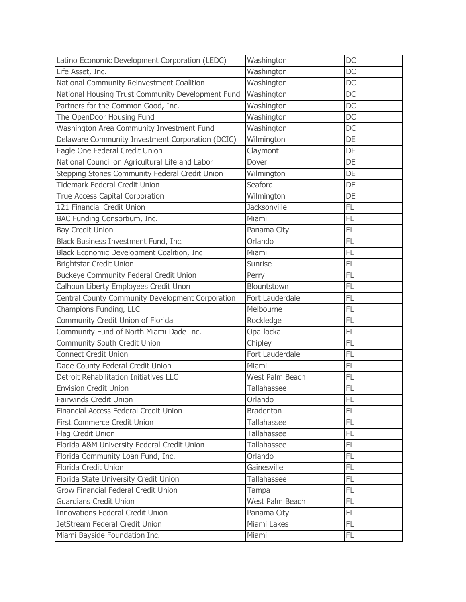| Latino Economic Development Corporation (LEDC)    | Washington         | <b>DC</b>       |
|---------------------------------------------------|--------------------|-----------------|
| Life Asset, Inc.                                  | Washington         | <b>DC</b>       |
| National Community Reinvestment Coalition         | Washington         | <b>DC</b>       |
| National Housing Trust Community Development Fund | Washington         | DC              |
| Partners for the Common Good, Inc.                | Washington         | DC              |
| The OpenDoor Housing Fund                         | Washington         | DC              |
| Washington Area Community Investment Fund         | Washington         | DC              |
| Delaware Community Investment Corporation (DCIC)  | Wilmington         | DE              |
| Eagle One Federal Credit Union                    | Claymont           | DE              |
| National Council on Agricultural Life and Labor   | Dover              | DE              |
| Stepping Stones Community Federal Credit Union    | Wilmington         | DE              |
| Tidemark Federal Credit Union                     | Seaford            | DE              |
| True Access Capital Corporation                   | Wilmington         | DE              |
| 121 Financial Credit Union                        | Jacksonville       | FL              |
| BAC Funding Consortium, Inc.                      | Miami              | FL              |
| <b>Bay Credit Union</b>                           | Panama City        | FL              |
| Black Business Investment Fund, Inc.              | Orlando            | FL              |
| Black Economic Development Coalition, Inc         | Miami              | FL              |
| <b>Brightstar Credit Union</b>                    | Sunrise            | FL              |
| <b>Buckeye Community Federal Credit Union</b>     | Perry              | $\overline{FL}$ |
| Calhoun Liberty Employees Credit Unon             | Blountstown        | FL              |
| Central County Community Development Corporation  | Fort Lauderdale    | FL              |
| Champions Funding, LLC                            | Melbourne          | FL              |
| Community Credit Union of Florida                 | Rockledge          | FL              |
| Community Fund of North Miami-Dade Inc.           | Opa-locka          | FL              |
| Community South Credit Union                      | Chipley            | FL              |
| <b>Connect Credit Union</b>                       | Fort Lauderdale    | FL              |
| Dade County Federal Credit Union                  | Miami              | FL              |
| Detroit Rehabilitation Initiatives LLC            | West Palm Beach    | FL              |
| <b>Envision Credit Union</b>                      | Tallahassee        | FL              |
| <b>Fairwinds Credit Union</b>                     | Orlando            | FL              |
| Financial Access Federal Credit Union             | <b>Bradenton</b>   | FL              |
| First Commerce Credit Union                       | Tallahassee        | FL.             |
| Flag Credit Union                                 | Tallahassee        | FL              |
| Florida A&M University Federal Credit Union       | Tallahassee        | FL              |
| Florida Community Loan Fund, Inc.                 | Orlando            | FL              |
| Florida Credit Union                              | Gainesville        | FL.             |
| Florida State University Credit Union             | <b>Tallahassee</b> | FL              |
| Grow Financial Federal Credit Union               | Tampa              | FL              |
| <b>Guardians Credit Union</b>                     | West Palm Beach    | FL              |
| <b>Innovations Federal Credit Union</b>           | Panama City        | FL.             |
| JetStream Federal Credit Union                    | Miami Lakes        | FL.             |
| Miami Bayside Foundation Inc.                     | Miami              | FL              |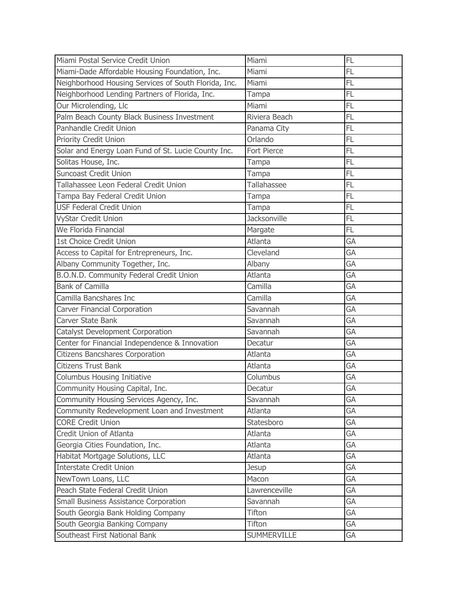| Miami Postal Service Credit Union                    | Miami              | FL              |
|------------------------------------------------------|--------------------|-----------------|
| Miami-Dade Affordable Housing Foundation, Inc.       | Miami              | FL              |
| Neighborhood Housing Services of South Florida, Inc. | Miami              | FL              |
| Neighborhood Lending Partners of Florida, Inc.       | Tampa              | $\overline{FL}$ |
| Our Microlending, Llc                                | Miami              | FL              |
| Palm Beach County Black Business Investment          | Riviera Beach      | FL              |
| Panhandle Credit Union                               | Panama City        | FL              |
| Priority Credit Union                                | Orlando            | FL              |
| Solar and Energy Loan Fund of St. Lucie County Inc.  | Fort Pierce        | FL              |
| Solitas House, Inc.                                  | Tampa              | FL              |
| <b>Suncoast Credit Union</b>                         | Tampa              | FL              |
| Tallahassee Leon Federal Credit Union                | Tallahassee        | FL              |
| Tampa Bay Federal Credit Union                       | Tampa              | FL              |
| <b>USF Federal Credit Union</b>                      | Tampa              | FL              |
| VyStar Credit Union                                  | Jacksonville       | FL              |
| We Florida Financial                                 | Margate            | FL              |
| 1st Choice Credit Union                              | Atlanta            | GA              |
| Access to Capital for Entrepreneurs, Inc.            | Cleveland          | GA              |
| Albany Community Together, Inc.                      | Albany             | GA              |
| B.O.N.D. Community Federal Credit Union              | Atlanta            | GA              |
| <b>Bank of Camilla</b>                               | Camilla            | GA              |
| Camilla Bancshares Inc                               | Camilla            | GA              |
| Carver Financial Corporation                         | Savannah           | GA              |
| Carver State Bank                                    | Savannah           | GA              |
| <b>Catalyst Development Corporation</b>              | Savannah           | GA              |
| Center for Financial Independence & Innovation       | Decatur            | GA              |
| <b>Citizens Bancshares Corporation</b>               | Atlanta            | GA              |
| <b>Citizens Trust Bank</b>                           | Atlanta            | GA              |
| <b>Columbus Housing Initiative</b>                   | Columbus           | GA              |
| Community Housing Capital, Inc.                      | Decatur            | GA              |
| Community Housing Services Agency, Inc.              | Savannah           | GA              |
| Community Redevelopment Loan and Investment          | Atlanta            | GA              |
| <b>CORE Credit Union</b>                             | Statesboro         | GA              |
| Credit Union of Atlanta                              | Atlanta            | GA              |
| Georgia Cities Foundation, Inc.                      | Atlanta            | GA              |
| Habitat Mortgage Solutions, LLC                      | Atlanta            | GA              |
| <b>Interstate Credit Union</b>                       | Jesup              | GA              |
| NewTown Loans, LLC                                   | Macon              | GA              |
| Peach State Federal Credit Union                     | Lawrenceville      | GA              |
| Small Business Assistance Corporation                | Savannah           | GA              |
| South Georgia Bank Holding Company                   | Tifton             | GA              |
| South Georgia Banking Company                        | <b>Tifton</b>      | GA              |
| Southeast First National Bank                        | <b>SUMMERVILLE</b> | GA              |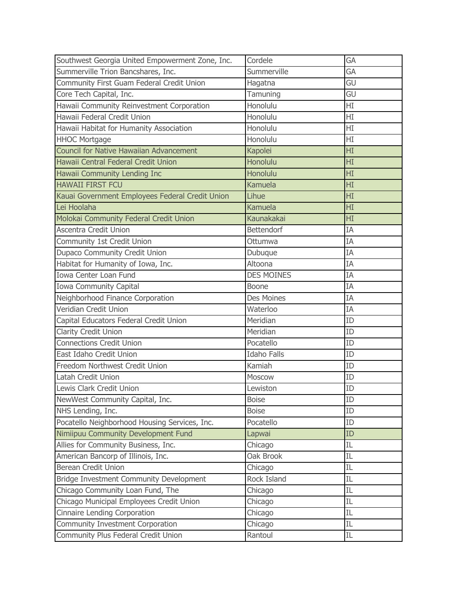| Southwest Georgia United Empowerment Zone, Inc. | Cordele            | GA             |
|-------------------------------------------------|--------------------|----------------|
| Summerville Trion Bancshares, Inc.              | Summerville        | GA             |
| Community First Guam Federal Credit Union       | Hagatna            | GU             |
| Core Tech Capital, Inc.                         | Tamuning           | GU             |
| Hawaii Community Reinvestment Corporation       | Honolulu           | HI             |
| Hawaii Federal Credit Union                     | Honolulu           | $\overline{H}$ |
| Hawaii Habitat for Humanity Association         | Honolulu           | HI             |
| <b>HHOC Mortgage</b>                            | Honolulu           | HI             |
| <b>Council for Native Hawaiian Advancement</b>  | Kapolei            | HI             |
| Hawaii Central Federal Credit Union             | Honolulu           | HI             |
| Hawaii Community Lending Inc                    | Honolulu           | HI             |
| <b>HAWAII FIRST FCU</b>                         | Kamuela            | HI             |
| Kauai Government Employees Federal Credit Union | Lihue              | HI             |
| Lei Hoolaha                                     | Kamuela            | HI             |
| Molokai Community Federal Credit Union          | Kaunakakai         | HI             |
| <b>Ascentra Credit Union</b>                    | <b>Bettendorf</b>  | IA             |
| Community 1st Credit Union                      | Ottumwa            | IA             |
| Dupaco Community Credit Union                   | Dubuque            | ΙA             |
| Habitat for Humanity of Iowa, Inc.              | Altoona            | ΙA             |
| Iowa Center Loan Fund                           | <b>DES MOINES</b>  | ΙA             |
| Iowa Community Capital                          | Boone              | ΙA             |
| Neighborhood Finance Corporation                | Des Moines         | ΙA             |
| Veridian Credit Union                           | Waterloo           | ΙA             |
| Capital Educators Federal Credit Union          | Meridian           | ID             |
| Clarity Credit Union                            | Meridian           | ID             |
| <b>Connections Credit Union</b>                 | Pocatello          | ID             |
| East Idaho Credit Union                         | <b>Idaho Falls</b> | ID             |
| Freedom Northwest Credit Union                  | Kamiah             | ID             |
| Latah Credit Union                              | Moscow             | ID             |
| Lewis Clark Credit Union                        | Lewiston           | ID             |
| NewWest Community Capital, Inc.                 | <b>Boise</b>       | ID             |
| NHS Lending, Inc.                               | <b>Boise</b>       | ID             |
| Pocatello Neighborhood Housing Services, Inc.   | Pocatello          | ID             |
| Nimiipuu Community Development Fund             | Lapwai             | ID             |
| Allies for Community Business, Inc.             | Chicago            | IL             |
| American Bancorp of Illinois, Inc.              | Oak Brook          | IL             |
| <b>Berean Credit Union</b>                      | Chicago            | IL             |
| Bridge Investment Community Development         | Rock Island        | IL             |
| Chicago Community Loan Fund, The                | Chicago            | IL             |
| Chicago Municipal Employees Credit Union        | Chicago            | IL             |
| <b>Cinnaire Lending Corporation</b>             | Chicago            | IL             |
| Community Investment Corporation                | Chicago            | IL             |
| Community Plus Federal Credit Union             | Rantoul            | IL.            |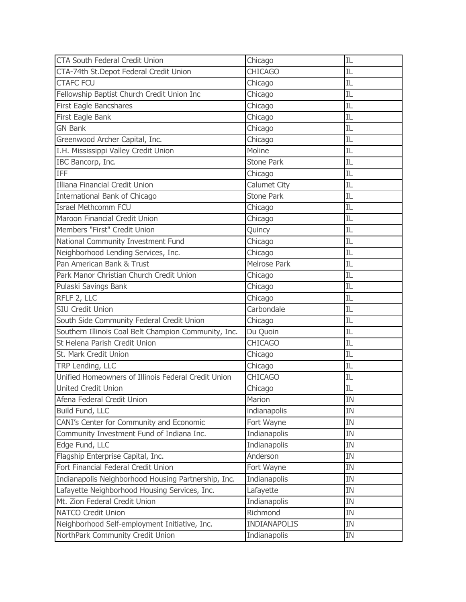| <b>CTA South Federal Credit Union</b>                | Chicago             | IL  |
|------------------------------------------------------|---------------------|-----|
| CTA-74th St. Depot Federal Credit Union              | <b>CHICAGO</b>      | ΙL  |
| <b>CTAFC FCU</b>                                     | Chicago             | IL  |
| Fellowship Baptist Church Credit Union Inc           | Chicago             | ΙL  |
| First Eagle Bancshares                               | Chicago             | ΙL  |
| First Eagle Bank                                     | Chicago             | ΙL  |
| <b>GN Bank</b>                                       | Chicago             | ΙL  |
| Greenwood Archer Capital, Inc.                       | Chicago             | ΙL  |
| I.H. Mississippi Valley Credit Union                 | Moline              | IL  |
| IBC Bancorp, Inc.                                    | Stone Park          | IL  |
| <b>IFF</b>                                           | Chicago             | IL. |
| Illiana Financial Credit Union                       | Calumet City        | ΙL  |
| International Bank of Chicago                        | <b>Stone Park</b>   | IL  |
| <b>Israel Methcomm FCU</b>                           | Chicago             | IL  |
| Maroon Financial Credit Union                        | Chicago             | ΙL  |
| Members "First" Credit Union                         | Quincy              | IL  |
| National Community Investment Fund                   | Chicago             | ΙL  |
| Neighborhood Lending Services, Inc.                  | Chicago             | ΙL  |
| Pan American Bank & Trust                            | Melrose Park        | IL  |
| Park Manor Christian Church Credit Union             | Chicago             | ΙL  |
| Pulaski Savings Bank                                 | Chicago             | IL  |
| RFLF 2, LLC                                          | Chicago             | IL  |
| <b>SIU Credit Union</b>                              | Carbondale          | IL. |
| South Side Community Federal Credit Union            | Chicago             | ΙL  |
| Southern Illinois Coal Belt Champion Community, Inc. | Du Quoin            | IL  |
| St Helena Parish Credit Union                        | <b>CHICAGO</b>      | IL  |
| St. Mark Credit Union                                | Chicago             | ΙL  |
| TRP Lending, LLC                                     | Chicago             | IL  |
| Unified Homeowners of Illinois Federal Credit Union  | <b>CHICAGO</b>      | ΙL  |
| <b>United Credit Union</b>                           | Chicago             | IL  |
| Afena Federal Credit Union                           | Marion              | IN  |
| Build Fund, LLC                                      | indianapolis        | IN  |
| CANI's Center for Community and Economic             | Fort Wayne          | IN  |
| Community Investment Fund of Indiana Inc.            | Indianapolis        | IN  |
| Edge Fund, LLC                                       | Indianapolis        | IN  |
| Flagship Enterprise Capital, Inc.                    | Anderson            | IN  |
| Fort Financial Federal Credit Union                  | Fort Wayne          | IN  |
| Indianapolis Neighborhood Housing Partnership, Inc.  | Indianapolis        | IN  |
| Lafayette Neighborhood Housing Services, Inc.        | Lafayette           | IN  |
| Mt. Zion Federal Credit Union                        | Indianapolis        | IN  |
| <b>NATCO Credit Union</b>                            | Richmond            | IN  |
| Neighborhood Self-employment Initiative, Inc.        | <b>INDIANAPOLIS</b> | IN  |
| NorthPark Community Credit Union                     | Indianapolis        | IN  |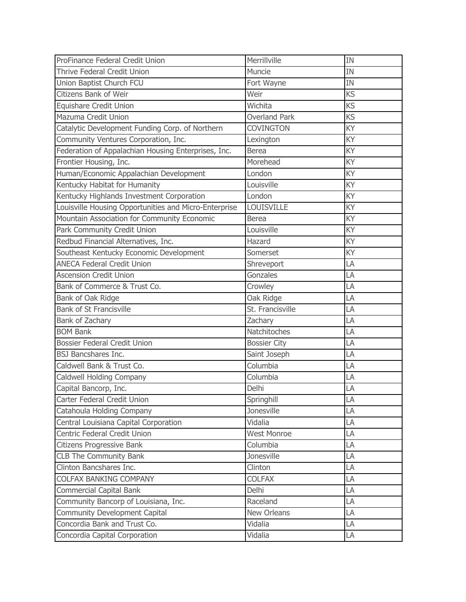| ProFinance Federal Credit Union                       | Merrillville         | <b>IN</b> |
|-------------------------------------------------------|----------------------|-----------|
| Thrive Federal Credit Union                           | Muncie               | <b>IN</b> |
| Union Baptist Church FCU                              | Fort Wayne           | IN        |
| Citizens Bank of Weir                                 | Weir                 | KS        |
| <b>Equishare Credit Union</b>                         | Wichita              | KS        |
| Mazuma Credit Union                                   | <b>Overland Park</b> | KS        |
| Catalytic Development Funding Corp. of Northern       | <b>COVINGTON</b>     | KY        |
| Community Ventures Corporation, Inc.                  | Lexington            | KY        |
| Federation of Appalachian Housing Enterprises, Inc.   | <b>Berea</b>         | KY        |
| Frontier Housing, Inc.                                | Morehead             | KY        |
| Human/Economic Appalachian Development                | London               | KY        |
| Kentucky Habitat for Humanity                         | Louisville           | KY        |
| Kentucky Highlands Investment Corporation             | London               | KY        |
| Louisville Housing Opportunities and Micro-Enterprise | <b>LOUISVILLE</b>    | KY        |
| Mountain Association for Community Economic           | <b>Berea</b>         | KY        |
| Park Community Credit Union                           | Louisville           | KY        |
| Redbud Financial Alternatives, Inc.                   | Hazard               | KY        |
| Southeast Kentucky Economic Development               | Somerset             | KY        |
| <b>ANECA Federal Credit Union</b>                     | Shreveport           | LA        |
| <b>Ascension Credit Union</b>                         | Gonzales             | LA        |
| Bank of Commerce & Trust Co.                          | Crowley              | LA        |
| Bank of Oak Ridge                                     | Oak Ridge            | LA        |
| <b>Bank of St Francisville</b>                        | St. Francisville     | LA        |
| Bank of Zachary                                       | Zachary              | LA        |
| <b>BOM Bank</b>                                       | Natchitoches         | LA        |
| <b>Bossier Federal Credit Union</b>                   | <b>Bossier City</b>  | LA        |
| <b>BSJ Bancshares Inc.</b>                            | Saint Joseph         | LA        |
| Caldwell Bank & Trust Co.                             | Columbia             | LA        |
| <b>Caldwell Holding Company</b>                       | Columbia             | LA        |
| Capital Bancorp, Inc.                                 | Delhi                | LA        |
| Carter Federal Credit Union                           | Springhill           | LA        |
| Catahoula Holding Company                             | Jonesville           | LA        |
| Central Louisiana Capital Corporation                 | Vidalia              | LA        |
| Centric Federal Credit Union                          | <b>West Monroe</b>   | LA        |
| Citizens Progressive Bank                             | Columbia             | LA        |
| <b>CLB The Community Bank</b>                         | Jonesville           | LA        |
| Clinton Bancshares Inc.                               | Clinton              | LA        |
| <b>COLFAX BANKING COMPANY</b>                         | <b>COLFAX</b>        | LA        |
| <b>Commercial Capital Bank</b>                        | Delhi                | LA        |
| Community Bancorp of Louisiana, Inc.                  | Raceland             | LA        |
| <b>Community Development Capital</b>                  | New Orleans          | LA        |
| Concordia Bank and Trust Co.                          | Vidalia              | LA        |
| Concordia Capital Corporation                         | Vidalia              | LA        |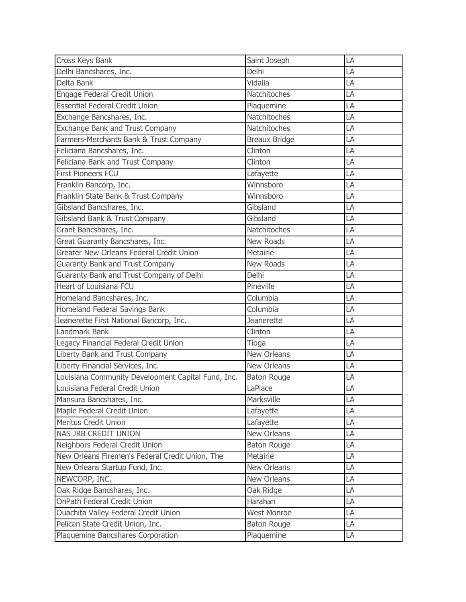| Cross Keys Bank                                    | Saint Joseph         | LA |
|----------------------------------------------------|----------------------|----|
| Delhi Bancshares, Inc.                             | Delhi                | LA |
| Delta Bank                                         | Vidalia              | LA |
| Engage Federal Credit Union                        | Natchitoches         | LA |
| <b>Essential Federal Credit Union</b>              | Plaquemine           | LA |
| Exchange Bancshares, Inc.                          | Natchitoches         | LA |
| <b>Exchange Bank and Trust Company</b>             | Natchitoches         | LA |
| Farmers-Merchants Bank & Trust Company             | <b>Breaux Bridge</b> | LA |
| Feliciana Bancshares, Inc.                         | Clinton              | LA |
| Feliciana Bank and Trust Company                   | Clinton              | LA |
| <b>First Pioneers FCU</b>                          | Lafayette            | LA |
| Franklin Bancorp, Inc.                             | Winnsboro            | LA |
| Franklin State Bank & Trust Company                | Winnsboro            | LA |
| Gibsland Bancshares, Inc.                          | Gibsland             | LA |
| Gibsland Bank & Trust Company                      | Gibsland             | LA |
| Grant Bancshares, Inc.                             | Natchitoches         | LA |
| Great Guaranty Bancshares, Inc.                    | <b>New Roads</b>     | LA |
| Greater New Orleans Federal Credit Union           | Metairie             | LA |
| Guaranty Bank and Trust Company                    | <b>New Roads</b>     | LA |
| Guaranty Bank and Trust Company of Delhi           | Delhi                | LA |
| Heart of Louisiana FCU                             | Pineville            | LA |
| Homeland Bancshares, Inc.                          | Columbia             | LA |
| Homeland Federal Savings Bank                      | Columbia             | LA |
| Jeanerette First National Bancorp, Inc.            | <b>Jeanerette</b>    | LA |
| Landmark Bank                                      | Clinton              | LA |
| Legacy Financial Federal Credit Union              | Tioga                | LA |
| Liberty Bank and Trust Company                     | New Orleans          | LA |
| Liberty Financial Services, Inc.                   | New Orleans          | LA |
| Louisiana Community Development Capital Fund, Inc. | <b>Baton Rouge</b>   | LA |
| Louisiana Federal Credit Union                     | LaPlace              | LA |
| Mansura Bancshares, Inc.                           | Marksville           | LA |
| Maple Federal Credit Union                         | Lafayette            | LA |
| Meritus Credit Union                               | Lafayette            | LA |
| NAS JRB CREDIT UNION                               | New Orleans          | LA |
| Neighbors Federal Credit Union                     | <b>Baton Rouge</b>   | LA |
| New Orleans Firemen's Federal Credit Union, The    | Metairie             | LA |
| New Orleans Startup Fund, Inc.                     | New Orleans          | LA |
| NEWCORP, INC.                                      | New Orleans          | LA |
| Oak Ridge Bancshares, Inc.                         | Oak Ridge            | LA |
| OnPath Federal Credit Union                        | Harahan              | LA |
| Ouachita Valley Federal Credit Union               | <b>West Monroe</b>   | LA |
| Pelican State Credit Union, Inc.                   | <b>Baton Rouge</b>   | LA |
| Plaquemine Bancshares Corporation                  | Plaquemine           | LA |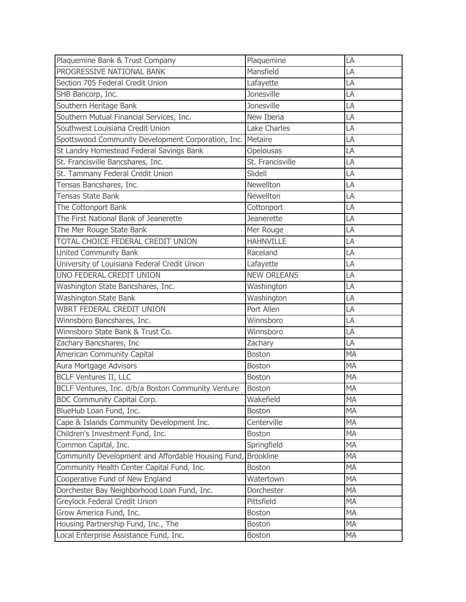| Plaquemine Bank & Trust Company                    | Plaquemine          | LA        |
|----------------------------------------------------|---------------------|-----------|
| PROGRESSIVE NATIONAL BANK                          | Mansfield           | LA        |
| Section 705 Federal Credit Union                   | Lafayette           | LA        |
| SHB Bancorp, Inc.                                  | <b>Jonesville</b>   | LA        |
| Southern Heritage Bank                             | Jonesville          | LA        |
| Southern Mutual Financial Services, Inc.           | New Iberia          | LA        |
| Southwest Louisiana Credit Union                   | <b>Lake Charles</b> | LA        |
| Spottswood Community Development Corporation, Inc. | Metaire             | LA        |
| St Landry Homestead Federal Savings Bank           | Opelousas           | LA        |
| St. Francisville Bancshares, Inc.                  | St. Francisville    | LA        |
| St. Tammany Federal Credit Union                   | Slidell             | LA        |
| Tensas Bancshares, Inc.                            | <b>Newellton</b>    | LA        |
| Tensas State Bank                                  | <b>Newellton</b>    | LA        |
| The Cottonport Bank                                | Cottonport          | LA        |
| The First National Bank of Jeanerette              | Jeanerette          | LA        |
| The Mer Rouge State Bank                           | Mer Rouge           | LA        |
| TOTAL CHOICE FEDERAL CREDIT UNION                  | <b>HAHNVILLE</b>    | LA        |
| <b>United Community Bank</b>                       | Raceland            | LA        |
| University of Louisiana Federal Credit Union       | Lafayette           | LA        |
| UNO FEDERAL CREDIT UNION                           | <b>NEW ORLEANS</b>  | LA        |
| Washington State Bancshares, Inc.                  | Washington          | LA        |
| <b>Washington State Bank</b>                       | Washington          | LA        |
| <b>WBRT FEDERAL CREDIT UNION</b>                   | Port Allen          | LA        |
| Winnsboro Bancshares, Inc.                         | Winnsboro           | LA        |
| Winnsboro State Bank & Trust Co.                   | Winnsboro           | LA        |
| Zachary Bancshares, Inc                            | Zachary             | LA        |
| American Community Capital                         | <b>Boston</b>       | <b>MA</b> |
| Aura Mortgage Advisors                             | <b>Boston</b>       | <b>MA</b> |
| <b>BCLF Ventures II, LLC</b>                       | <b>Boston</b>       | <b>MA</b> |
| BCLF Ventures, Inc. d/b/a Boston Community Venture | Boston              | <b>MA</b> |
| BDC Community Capital Corp.                        | Wakefield           | MA        |
| BlueHub Loan Fund, Inc.                            | <b>Boston</b>       | MA        |
| Cape & Islands Community Development Inc.          | Centerville         | <b>MA</b> |
| Children's Investment Fund, Inc.                   | <b>Boston</b>       | <b>MA</b> |
| Common Capital, Inc.                               | Springfield         | MA        |
| Community Development and Affordable Housing Fund, | <b>Brookline</b>    | MA        |
| Community Health Center Capital Fund, Inc.         | <b>Boston</b>       | MA        |
| Cooperative Fund of New England                    | Watertown           | <b>MA</b> |
| Dorchester Bay Neighborhood Loan Fund, Inc.        | Dorchester          | MA        |
| Greylock Federal Credit Union                      | Pittsfield          | MA        |
| Grow America Fund, Inc.                            | <b>Boston</b>       | MA        |
| Housing Partnership Fund, Inc., The                | <b>Boston</b>       | <b>MA</b> |
| Local Enterprise Assistance Fund, Inc.             | <b>Boston</b>       | MA        |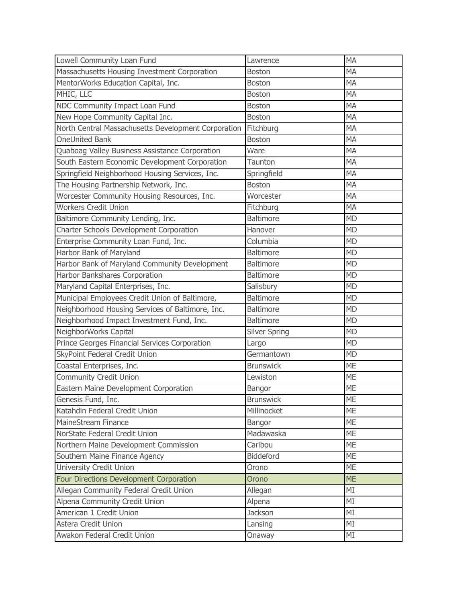| Lowell Community Loan Fund                          | Lawrence             | <b>MA</b>       |
|-----------------------------------------------------|----------------------|-----------------|
| Massachusetts Housing Investment Corporation        | <b>Boston</b>        | <b>MA</b>       |
| MentorWorks Education Capital, Inc.                 | <b>Boston</b>        | <b>MA</b>       |
| MHIC, LLC                                           | <b>Boston</b>        | <b>MA</b>       |
| NDC Community Impact Loan Fund                      | <b>Boston</b>        | <b>MA</b>       |
| New Hope Community Capital Inc.                     | <b>Boston</b>        | <b>MA</b>       |
| North Central Massachusetts Development Corporation | Fitchburg            | <b>MA</b>       |
| OneUnited Bank                                      | <b>Boston</b>        | <b>MA</b>       |
| Quaboag Valley Business Assistance Corporation      | Ware                 | <b>MA</b>       |
| South Eastern Economic Development Corporation      | Taunton              | <b>MA</b>       |
| Springfield Neighborhood Housing Services, Inc.     | Springfield          | <b>MA</b>       |
| The Housing Partnership Network, Inc.               | <b>Boston</b>        | <b>MA</b>       |
| Worcester Community Housing Resources, Inc.         | Worcester            | <b>MA</b>       |
| <b>Workers Credit Union</b>                         | Fitchburg            | <b>MA</b>       |
| Baltimore Community Lending, Inc.                   | <b>Baltimore</b>     | <b>MD</b>       |
| Charter Schools Development Corporation             | Hanover              | <b>MD</b>       |
| Enterprise Community Loan Fund, Inc.                | Columbia             | <b>MD</b>       |
| Harbor Bank of Maryland                             | <b>Baltimore</b>     | <b>MD</b>       |
| Harbor Bank of Maryland Community Development       | <b>Baltimore</b>     | <b>MD</b>       |
| Harbor Bankshares Corporation                       | <b>Baltimore</b>     | <b>MD</b>       |
| Maryland Capital Enterprises, Inc.                  | Salisbury            | <b>MD</b>       |
| Municipal Employees Credit Union of Baltimore,      | Baltimore            | <b>MD</b>       |
| Neighborhood Housing Services of Baltimore, Inc.    | <b>Baltimore</b>     | <b>MD</b>       |
| Neighborhood Impact Investment Fund, Inc.           | <b>Baltimore</b>     | <b>MD</b>       |
| NeighborWorks Capital                               | <b>Silver Spring</b> | <b>MD</b>       |
| Prince Georges Financial Services Corporation       | Largo                | <b>MD</b>       |
| SkyPoint Federal Credit Union                       | Germantown           | <b>MD</b>       |
| Coastal Enterprises, Inc.                           | <b>Brunswick</b>     | <b>ME</b>       |
| Community Credit Union                              | Lewiston             | <b>ME</b>       |
| Eastern Maine Development Corporation               | Bangor               | ME              |
| Genesis Fund, Inc.                                  | <b>Brunswick</b>     | <b>ME</b>       |
| Katahdin Federal Credit Union                       | Millinocket          | <b>ME</b>       |
| MaineStream Finance                                 | Bangor               | <b>ME</b>       |
| NorState Federal Credit Union                       | Madawaska            | <b>ME</b>       |
| Northern Maine Development Commission               | Caribou              | <b>ME</b>       |
| Southern Maine Finance Agency                       | <b>Biddeford</b>     | <b>ME</b>       |
| University Credit Union                             | Orono                | <b>ME</b>       |
| Four Directions Development Corporation             | Orono                | <b>ME</b>       |
| Allegan Community Federal Credit Union              | Allegan              | MI              |
| Alpena Community Credit Union                       | Alpena               | MI              |
| American 1 Credit Union                             | <b>Jackson</b>       | MI              |
| Astera Credit Union                                 | Lansing              | $\overline{MI}$ |
| Awakon Federal Credit Union                         | Onaway               | MI              |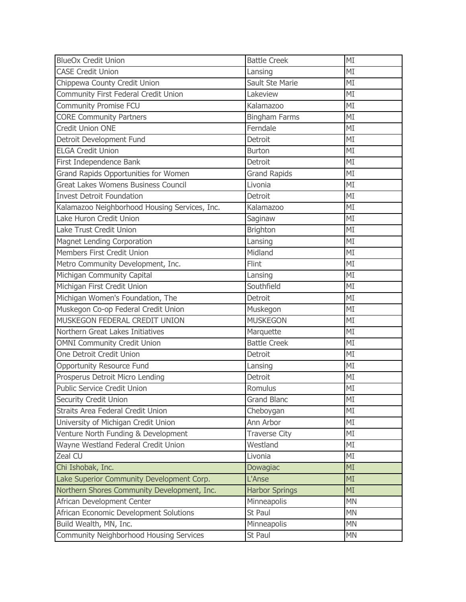| <b>BlueOx Credit Union</b>                    | <b>Battle Creek</b>   | MI              |
|-----------------------------------------------|-----------------------|-----------------|
| <b>CASE Credit Union</b>                      | Lansing               | MI              |
| Chippewa County Credit Union                  | Sault Ste Marie       | MI              |
| Community First Federal Credit Union          | Lakeview              | MI              |
| Community Promise FCU                         | Kalamazoo             | MI              |
| <b>CORE Community Partners</b>                | <b>Bingham Farms</b>  | MI              |
| <b>Credit Union ONE</b>                       | Ferndale              | MI              |
| Detroit Development Fund                      | Detroit               | MI              |
| <b>ELGA Credit Union</b>                      | <b>Burton</b>         | MI              |
| First Independence Bank                       | Detroit               | MI              |
| Grand Rapids Opportunities for Women          | <b>Grand Rapids</b>   | MI              |
| Great Lakes Womens Business Council           | Livonia               | MI              |
| <b>Invest Detroit Foundation</b>              | Detroit               | MI              |
| Kalamazoo Neighborhood Housing Services, Inc. | Kalamazoo             | MI              |
| Lake Huron Credit Union                       | Saginaw               | MI              |
| Lake Trust Credit Union                       | <b>Brighton</b>       | MI              |
| <b>Magnet Lending Corporation</b>             | Lansing               | MI              |
| Members First Credit Union                    | Midland               | MI              |
| Metro Community Development, Inc.             | Flint                 | MI              |
| Michigan Community Capital                    | Lansing               | MI              |
| Michigan First Credit Union                   | Southfield            | MI              |
| Michigan Women's Foundation, The              | Detroit               | MI              |
| Muskegon Co-op Federal Credit Union           | Muskegon              | $\overline{MI}$ |
| MUSKEGON FEDERAL CREDIT UNION                 | <b>MUSKEGON</b>       | MI              |
| Northern Great Lakes Initiatives              | Marquette             | MI              |
| <b>OMNI Community Credit Union</b>            | <b>Battle Creek</b>   | MI              |
| One Detroit Credit Union                      | Detroit               | MI              |
| <b>Opportunity Resource Fund</b>              | Lansing               | MI              |
| Prosperus Detroit Micro Lending               | Detroit               | MI              |
| <b>Public Service Credit Union</b>            | Romulus               | MI              |
| Security Credit Union                         | <b>Grand Blanc</b>    | MI              |
| Straits Area Federal Credit Union             | Cheboygan             | MI              |
| University of Michigan Credit Union           | Ann Arbor             | MI              |
| Venture North Funding & Development           | <b>Traverse City</b>  | MI              |
| Wayne Westland Federal Credit Union           | Westland              | MI              |
| Zeal CU                                       | Livonia               | MI              |
| Chi Ishobak, Inc.                             | Dowagiac              | MI              |
| Lake Superior Community Development Corp.     | L'Anse                | MI              |
| Northern Shores Community Development, Inc.   | <b>Harbor Springs</b> | MI              |
| African Development Center                    | Minneapolis           | <b>MN</b>       |
| African Economic Development Solutions        | St Paul               | <b>MN</b>       |
| Build Wealth, MN, Inc.                        | Minneapolis           | <b>MN</b>       |
| Community Neighborhood Housing Services       | St Paul               | <b>MN</b>       |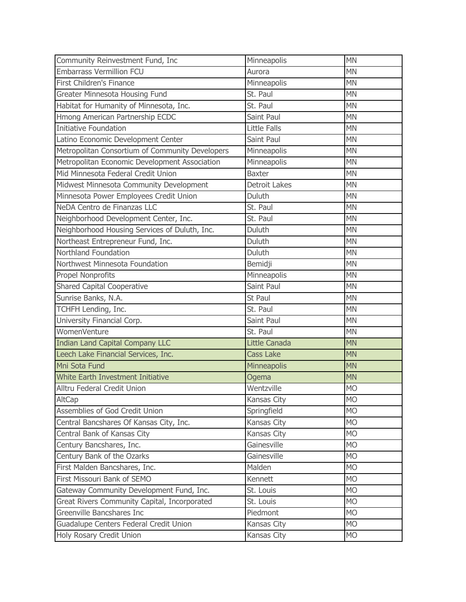| Community Reinvestment Fund, Inc                | Minneapolis          | <b>MN</b> |
|-------------------------------------------------|----------------------|-----------|
| <b>Embarrass Vermillion FCU</b>                 | Aurora               | <b>MN</b> |
| First Children's Finance                        | Minneapolis          | <b>MN</b> |
| Greater Minnesota Housing Fund                  | St. Paul             | <b>MN</b> |
| Habitat for Humanity of Minnesota, Inc.         | St. Paul             | <b>MN</b> |
| Hmong American Partnership ECDC                 | Saint Paul           | <b>MN</b> |
| <b>Initiative Foundation</b>                    | Little Falls         | <b>MN</b> |
| Latino Economic Development Center              | Saint Paul           | <b>MN</b> |
| Metropolitan Consortium of Community Developers | Minneapolis          | <b>MN</b> |
| Metropolitan Economic Development Association   | Minneapolis          | <b>MN</b> |
| Mid Minnesota Federal Credit Union              | <b>Baxter</b>        | <b>MN</b> |
| Midwest Minnesota Community Development         | <b>Detroit Lakes</b> | <b>MN</b> |
| Minnesota Power Employees Credit Union          | Duluth               | <b>MN</b> |
| NeDA Centro de Finanzas LLC                     | St. Paul             | <b>MN</b> |
| Neighborhood Development Center, Inc.           | St. Paul             | <b>MN</b> |
| Neighborhood Housing Services of Duluth, Inc.   | Duluth               | <b>MN</b> |
| Northeast Entrepreneur Fund, Inc.               | Duluth               | <b>MN</b> |
| Northland Foundation                            | Duluth               | <b>MN</b> |
| Northwest Minnesota Foundation                  | Bemidji              | <b>MN</b> |
| <b>Propel Nonprofits</b>                        | Minneapolis          | <b>MN</b> |
| <b>Shared Capital Cooperative</b>               | Saint Paul           | <b>MN</b> |
| Sunrise Banks, N.A.                             | St Paul              | <b>MN</b> |
| TCHFH Lending, Inc.                             | St. Paul             | <b>MN</b> |
| University Financial Corp.                      | Saint Paul           | <b>MN</b> |
| WomenVenture                                    | St. Paul             | <b>MN</b> |
| <b>Indian Land Capital Company LLC</b>          | <b>Little Canada</b> | <b>MN</b> |
| Leech Lake Financial Services, Inc.             | <b>Cass Lake</b>     | <b>MN</b> |
| Mni Sota Fund                                   | Minneapolis          | <b>MN</b> |
| White Earth Investment Initiative               | Ogema                | <b>MN</b> |
| Alltru Federal Credit Union                     | Wentzville           | <b>MO</b> |
| AltCap                                          | Kansas City          | <b>MO</b> |
| Assemblies of God Credit Union                  | Springfield          | <b>MO</b> |
| Central Bancshares Of Kansas City, Inc.         | Kansas City          | <b>MO</b> |
| Central Bank of Kansas City                     | Kansas City          | <b>MO</b> |
| Century Bancshares, Inc.                        | Gainesville          | <b>MO</b> |
| Century Bank of the Ozarks                      | Gainesville          | <b>MO</b> |
| First Malden Bancshares, Inc.                   | Malden               | <b>MO</b> |
| First Missouri Bank of SEMO                     | Kennett              | <b>MO</b> |
| Gateway Community Development Fund, Inc.        | St. Louis            | <b>MO</b> |
| Great Rivers Community Capital, Incorporated    | St. Louis            | <b>MO</b> |
| Greenville Bancshares Inc                       | Piedmont             | <b>MO</b> |
| Guadalupe Centers Federal Credit Union          | Kansas City          | <b>MO</b> |
| Holy Rosary Credit Union                        | Kansas City          | <b>MO</b> |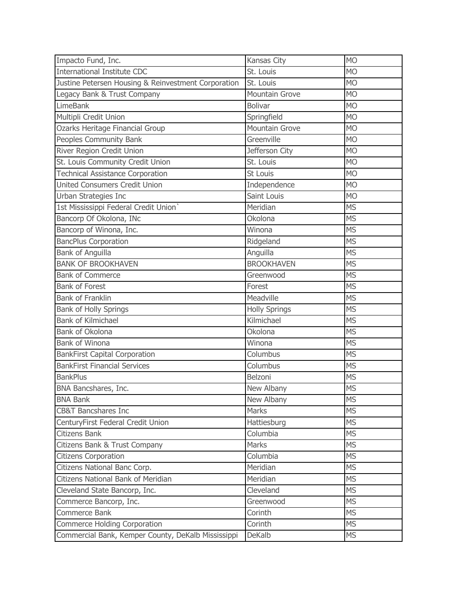| Impacto Fund, Inc.                                  | Kansas City           | <b>MO</b>      |
|-----------------------------------------------------|-----------------------|----------------|
| <b>International Institute CDC</b>                  | St. Louis             | <b>MO</b>      |
| Justine Petersen Housing & Reinvestment Corporation | St. Louis             | <b>MO</b>      |
| Legacy Bank & Trust Company                         | <b>Mountain Grove</b> | <b>MO</b>      |
| <b>LimeBank</b>                                     | <b>Bolivar</b>        | <b>MO</b>      |
| Multipli Credit Union                               | Springfield           | <b>MO</b>      |
| Ozarks Heritage Financial Group                     | <b>Mountain Grove</b> | <b>MO</b>      |
| Peoples Community Bank                              | Greenville            | <b>MO</b>      |
| River Region Credit Union                           | Jefferson City        | <b>MO</b>      |
| St. Louis Community Credit Union                    | St. Louis             | <b>MO</b>      |
| <b>Technical Assistance Corporation</b>             | St Louis              | M <sub>O</sub> |
| <b>United Consumers Credit Union</b>                | Independence          | <b>MO</b>      |
| Urban Strategies Inc                                | Saint Louis           | <b>MO</b>      |
| 1st Mississippi Federal Credit Union`               | Meridian              | <b>MS</b>      |
| Bancorp Of Okolona, INc                             | Okolona               | <b>MS</b>      |
| Bancorp of Winona, Inc.                             | Winona                | <b>MS</b>      |
| <b>BancPlus Corporation</b>                         | Ridgeland             | <b>MS</b>      |
| <b>Bank of Anguilla</b>                             | Anguilla              | <b>MS</b>      |
| <b>BANK OF BROOKHAVEN</b>                           | <b>BROOKHAVEN</b>     | <b>MS</b>      |
| <b>Bank of Commerce</b>                             | Greenwood             | <b>MS</b>      |
| <b>Bank of Forest</b>                               | Forest                | <b>MS</b>      |
| <b>Bank of Franklin</b>                             | Meadville             | <b>MS</b>      |
| <b>Bank of Holly Springs</b>                        | <b>Holly Springs</b>  | <b>MS</b>      |
| <b>Bank of Kilmichael</b>                           | Kilmichael            | <b>MS</b>      |
| Bank of Okolona                                     | Okolona               | <b>MS</b>      |
| <b>Bank of Winona</b>                               | Winona                | <b>MS</b>      |
| <b>BankFirst Capital Corporation</b>                | Columbus              | <b>MS</b>      |
| <b>BankFirst Financial Services</b>                 | Columbus              | <b>MS</b>      |
| <b>BankPlus</b>                                     | Belzoni               | <b>MS</b>      |
| BNA Bancshares, Inc.                                | New Albany            | <b>MS</b>      |
| <b>BNA Bank</b>                                     | New Albany            | <b>MS</b>      |
| <b>CB&amp;T Bancshares Inc</b>                      | Marks                 | <b>MS</b>      |
| CenturyFirst Federal Credit Union                   | Hattiesburg           | <b>MS</b>      |
| <b>Citizens Bank</b>                                | Columbia              | <b>MS</b>      |
| Citizens Bank & Trust Company                       | Marks                 | <b>MS</b>      |
| <b>Citizens Corporation</b>                         | Columbia              | <b>MS</b>      |
| Citizens National Banc Corp.                        | Meridian              | <b>MS</b>      |
| Citizens National Bank of Meridian                  | Meridian              | <b>MS</b>      |
| Cleveland State Bancorp, Inc.                       | Cleveland             | <b>MS</b>      |
| Commerce Bancorp, Inc.                              | Greenwood             | <b>MS</b>      |
| Commerce Bank                                       | Corinth               | <b>MS</b>      |
| Commerce Holding Corporation                        | Corinth               | <b>MS</b>      |
| Commercial Bank, Kemper County, DeKalb Mississippi  | <b>DeKalb</b>         | <b>MS</b>      |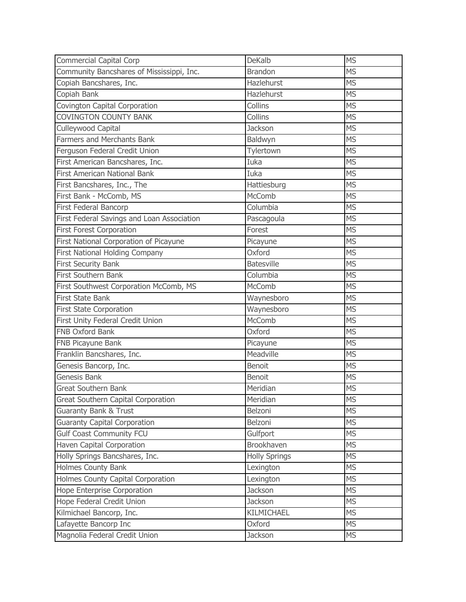| <b>Commercial Capital Corp</b>             | <b>DeKalb</b>        | <b>MS</b> |
|--------------------------------------------|----------------------|-----------|
| Community Bancshares of Mississippi, Inc.  | <b>Brandon</b>       | <b>MS</b> |
| Copiah Bancshares, Inc.                    | Hazlehurst           | <b>MS</b> |
| Copiah Bank                                | Hazlehurst           | <b>MS</b> |
| Covington Capital Corporation              | Collins              | <b>MS</b> |
| <b>COVINGTON COUNTY BANK</b>               | Collins              | <b>MS</b> |
| Culleywood Capital                         | <b>Jackson</b>       | <b>MS</b> |
| <b>Farmers and Merchants Bank</b>          | Baldwyn              | <b>MS</b> |
| Ferguson Federal Credit Union              | Tylertown            | <b>MS</b> |
| First American Bancshares, Inc.            | Iuka                 | <b>MS</b> |
| <b>First American National Bank</b>        | Iuka                 | <b>MS</b> |
| First Bancshares, Inc., The                | Hattiesburg          | <b>MS</b> |
| First Bank - McComb, MS                    | <b>McComb</b>        | <b>MS</b> |
| First Federal Bancorp                      | Columbia             | <b>MS</b> |
| First Federal Savings and Loan Association | Pascagoula           | <b>MS</b> |
| <b>First Forest Corporation</b>            | Forest               | <b>MS</b> |
| First National Corporation of Picayune     | Picayune             | <b>MS</b> |
| First National Holding Company             | Oxford               | <b>MS</b> |
| <b>First Security Bank</b>                 | <b>Batesville</b>    | <b>MS</b> |
| First Southern Bank                        | Columbia             | <b>MS</b> |
| First Southwest Corporation McComb, MS     | McComb               | <b>MS</b> |
| <b>First State Bank</b>                    | Waynesboro           | <b>MS</b> |
| <b>First State Corporation</b>             | Waynesboro           | <b>MS</b> |
| First Unity Federal Credit Union           | McComb               | <b>MS</b> |
| FNB Oxford Bank                            | Oxford               | <b>MS</b> |
| FNB Picayune Bank                          | Picayune             | <b>MS</b> |
| Franklin Bancshares, Inc.                  | Meadville            | <b>MS</b> |
| Genesis Bancorp, Inc.                      | Benoit               | <b>MS</b> |
| Genesis Bank                               | <b>Benoit</b>        | <b>MS</b> |
| <b>Great Southern Bank</b>                 | Meridian             | <b>MS</b> |
| Great Southern Capital Corporation         | Meridian             | <b>MS</b> |
| <b>Guaranty Bank &amp; Trust</b>           | Belzoni              | <b>MS</b> |
| <b>Guaranty Capital Corporation</b>        | Belzoni              | <b>MS</b> |
| <b>Gulf Coast Community FCU</b>            | Gulfport             | <b>MS</b> |
| Haven Capital Corporation                  | Brookhaven           | <b>MS</b> |
| Holly Springs Bancshares, Inc.             | <b>Holly Springs</b> | <b>MS</b> |
| Holmes County Bank                         | Lexington            | <b>MS</b> |
| Holmes County Capital Corporation          | Lexington            | <b>MS</b> |
| Hope Enterprise Corporation                | <b>Jackson</b>       | <b>MS</b> |
| Hope Federal Credit Union                  | <b>Jackson</b>       | <b>MS</b> |
| Kilmichael Bancorp, Inc.                   | KILMICHAEL           | <b>MS</b> |
| Lafayette Bancorp Inc                      | Oxford               | <b>MS</b> |
| Magnolia Federal Credit Union              | <b>Jackson</b>       | <b>MS</b> |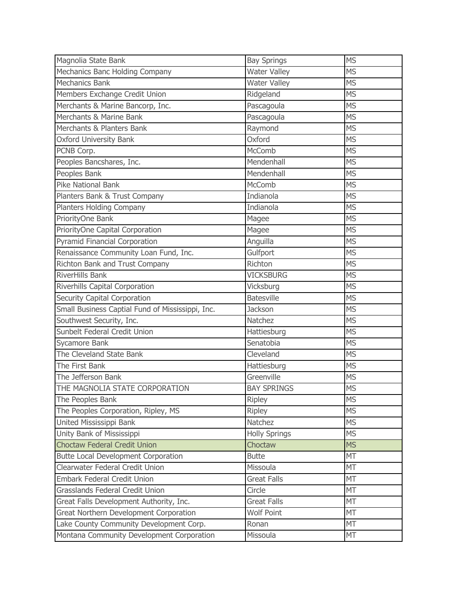| Magnolia State Bank                              | <b>Bay Springs</b>   | <b>MS</b> |
|--------------------------------------------------|----------------------|-----------|
| Mechanics Banc Holding Company                   | <b>Water Valley</b>  | <b>MS</b> |
| <b>Mechanics Bank</b>                            | <b>Water Valley</b>  | <b>MS</b> |
| Members Exchange Credit Union                    | Ridgeland            | <b>MS</b> |
| Merchants & Marine Bancorp, Inc.                 | Pascagoula           | <b>MS</b> |
| Merchants & Marine Bank                          | Pascagoula           | <b>MS</b> |
| Merchants & Planters Bank                        | Raymond              | <b>MS</b> |
| <b>Oxford University Bank</b>                    | Oxford               | <b>MS</b> |
| PCNB Corp.                                       | McComb               | <b>MS</b> |
| Peoples Bancshares, Inc.                         | Mendenhall           | <b>MS</b> |
| Peoples Bank                                     | Mendenhall           | <b>MS</b> |
| <b>Pike National Bank</b>                        | McComb               | <b>MS</b> |
| Planters Bank & Trust Company                    | Indianola            | <b>MS</b> |
| Planters Holding Company                         | Indianola            | <b>MS</b> |
| PriorityOne Bank                                 | Magee                | <b>MS</b> |
| PriorityOne Capital Corporation                  | Magee                | <b>MS</b> |
| <b>Pyramid Financial Corporation</b>             | Anguilla             | <b>MS</b> |
| Renaissance Community Loan Fund, Inc.            | Gulfport             | <b>MS</b> |
| Richton Bank and Trust Company                   | Richton              | <b>MS</b> |
| <b>RiverHills Bank</b>                           | <b>VICKSBURG</b>     | <b>MS</b> |
| Riverhills Capital Corporation                   | Vicksburg            | <b>MS</b> |
| Security Capital Corporation                     | <b>Batesville</b>    | <b>MS</b> |
| Small Business Captial Fund of Mississippi, Inc. | <b>Jackson</b>       | <b>MS</b> |
| Southwest Security, Inc.                         | Natchez              | <b>MS</b> |
| Sunbelt Federal Credit Union                     | Hattiesburg          | <b>MS</b> |
| Sycamore Bank                                    | Senatobia            | <b>MS</b> |
| The Cleveland State Bank                         | Cleveland            | <b>MS</b> |
| The First Bank                                   | Hattiesburg          | <b>MS</b> |
| The Jefferson Bank                               | Greenville           | <b>MS</b> |
| THE MAGNOLIA STATE CORPORATION                   | <b>BAY SPRINGS</b>   | <b>MS</b> |
| The Peoples Bank                                 | Ripley               | <b>MS</b> |
| The Peoples Corporation, Ripley, MS              | <b>Ripley</b>        | <b>MS</b> |
| United Mississippi Bank                          | Natchez              | <b>MS</b> |
| Unity Bank of Mississippi                        | <b>Holly Springs</b> | <b>MS</b> |
| <b>Choctaw Federal Credit Union</b>              | Choctaw              | <b>MS</b> |
| <b>Butte Local Development Corporation</b>       | <b>Butte</b>         | MT        |
| Clearwater Federal Credit Union                  | Missoula             | MT        |
| <b>Embark Federal Credit Union</b>               | <b>Great Falls</b>   | MT        |
| Grasslands Federal Credit Union                  | Circle               | MT        |
| Great Falls Development Authority, Inc.          | <b>Great Falls</b>   | MT        |
| Great Northern Development Corporation           | <b>Wolf Point</b>    | MT        |
| Lake County Community Development Corp.          | Ronan                | MT        |
| Montana Community Development Corporation        | Missoula             | MT        |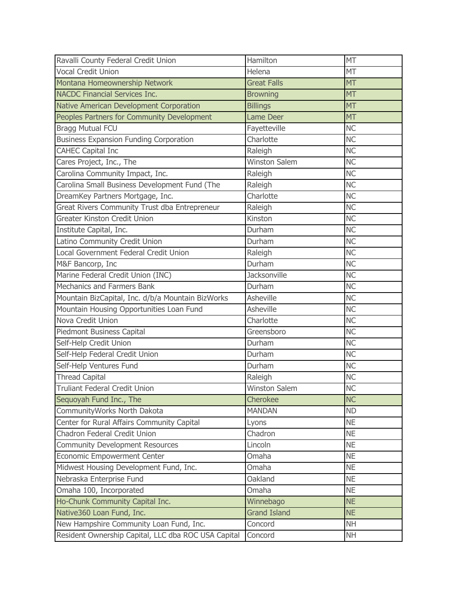| Ravalli County Federal Credit Union                 | Hamilton             | <b>MT</b>       |
|-----------------------------------------------------|----------------------|-----------------|
| <b>Vocal Credit Union</b>                           | Helena               | <b>MT</b>       |
| Montana Homeownership Network                       | <b>Great Falls</b>   | <b>MT</b>       |
| <b>NACDC Financial Services Inc.</b>                | <b>Browning</b>      | <b>MT</b>       |
| Native American Development Corporation             | <b>Billings</b>      | <b>MT</b>       |
| Peoples Partners for Community Development          | <b>Lame Deer</b>     | <b>MT</b>       |
| <b>Bragg Mutual FCU</b>                             | Fayetteville         | <b>NC</b>       |
| <b>Business Expansion Funding Corporation</b>       | Charlotte            | <b>NC</b>       |
| <b>CAHEC Capital Inc</b>                            | Raleigh              | <b>NC</b>       |
| Cares Project, Inc., The                            | <b>Winston Salem</b> | <b>NC</b>       |
| Carolina Community Impact, Inc.                     | Raleigh              | $\overline{NC}$ |
| Carolina Small Business Development Fund (The       | Raleigh              | <b>NC</b>       |
| DreamKey Partners Mortgage, Inc.                    | Charlotte            | <b>NC</b>       |
| Great Rivers Community Trust dba Entrepreneur       | Raleigh              | <b>NC</b>       |
| Greater Kinston Credit Union                        | Kinston              | <b>NC</b>       |
| Institute Capital, Inc.                             | Durham               | <b>NC</b>       |
| Latino Community Credit Union                       | Durham               | <b>NC</b>       |
| Local Government Federal Credit Union               | Raleigh              | <b>NC</b>       |
| M&F Bancorp, Inc                                    | Durham               | $\overline{NC}$ |
| Marine Federal Credit Union (INC)                   | <b>Jacksonville</b>  | <b>NC</b>       |
| Mechanics and Farmers Bank                          | Durham               | <b>NC</b>       |
| Mountain BizCapital, Inc. d/b/a Mountain BizWorks   | Asheville            | <b>NC</b>       |
| Mountain Housing Opportunities Loan Fund            | Asheville            | $\overline{NC}$ |
| Nova Credit Union                                   | Charlotte            | <b>NC</b>       |
| Piedmont Business Capital                           | Greensboro           | <b>NC</b>       |
| Self-Help Credit Union                              | Durham               | <b>NC</b>       |
| Self-Help Federal Credit Union                      | Durham               | <b>NC</b>       |
| Self-Help Ventures Fund                             | Durham               | <b>NC</b>       |
| <b>Thread Capital</b>                               | Raleigh              | <b>NC</b>       |
| <b>Truliant Federal Credit Union</b>                | <b>Winston Salem</b> | <b>NC</b>       |
| Sequoyah Fund Inc., The                             | Cherokee             | <b>NC</b>       |
| CommunityWorks North Dakota                         | <b>MANDAN</b>        | <b>ND</b>       |
| Center for Rural Affairs Community Capital          | Lyons                | <b>NE</b>       |
| Chadron Federal Credit Union                        | Chadron              | <b>NE</b>       |
| <b>Community Development Resources</b>              | Lincoln              | <b>NE</b>       |
| <b>Economic Empowerment Center</b>                  | Omaha                | <b>NE</b>       |
| Midwest Housing Development Fund, Inc.              | Omaha                | <b>NE</b>       |
| Nebraska Enterprise Fund                            | Oakland              | <b>NE</b>       |
| Omaha 100, Incorporated                             | Omaha                | <b>NE</b>       |
| Ho-Chunk Community Capital Inc.                     | Winnebago            | <b>NE</b>       |
| Native360 Loan Fund, Inc.                           | <b>Grand Island</b>  | <b>NE</b>       |
| New Hampshire Community Loan Fund, Inc.             | Concord              | <b>NH</b>       |
| Resident Ownership Capital, LLC dba ROC USA Capital | Concord              | <b>NH</b>       |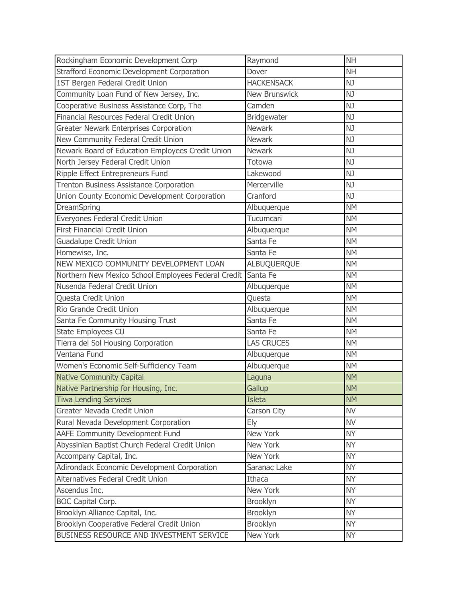| Rockingham Economic Development Corp                | Raymond              | <b>NH</b> |
|-----------------------------------------------------|----------------------|-----------|
| Strafford Economic Development Corporation          | Dover                | <b>NH</b> |
| 1ST Bergen Federal Credit Union                     | <b>HACKENSACK</b>    | NJ        |
| Community Loan Fund of New Jersey, Inc.             | <b>New Brunswick</b> | NJ        |
| Cooperative Business Assistance Corp, The           | Camden               | NJ        |
| Financial Resources Federal Credit Union            | Bridgewater          | NJ        |
| Greater Newark Enterprises Corporation              | <b>Newark</b>        | NJ        |
| New Community Federal Credit Union                  | <b>Newark</b>        | NJ        |
| Newark Board of Education Employees Credit Union    | <b>Newark</b>        | NJ        |
| North Jersey Federal Credit Union                   | Totowa               | NJ        |
| Ripple Effect Entrepreneurs Fund                    | Lakewood             | NJ        |
| Trenton Business Assistance Corporation             | Mercerville          | NJ        |
| Union County Economic Development Corporation       | Cranford             | NJ        |
| DreamSpring                                         | Albuquerque          | <b>NM</b> |
| Everyones Federal Credit Union                      | Tucumcari            | <b>NM</b> |
| <b>First Financial Credit Union</b>                 | Albuquerque          | <b>NM</b> |
| <b>Guadalupe Credit Union</b>                       | Santa Fe             | <b>NM</b> |
| Homewise, Inc.                                      | Santa Fe             | <b>NM</b> |
| NEW MEXICO COMMUNITY DEVELOPMENT LOAN               | ALBUQUERQUE          | <b>NM</b> |
| Northern New Mexico School Employees Federal Credit | Santa Fe             | <b>NM</b> |
| Nusenda Federal Credit Union                        | Albuquerque          | <b>NM</b> |
| Questa Credit Union                                 | Questa               | <b>NM</b> |
| Rio Grande Credit Union                             | Albuquerque          | <b>NM</b> |
| Santa Fe Community Housing Trust                    | Santa Fe             | <b>NM</b> |
| State Employees CU                                  | Santa Fe             | <b>NM</b> |
| Tierra del Sol Housing Corporation                  | <b>LAS CRUCES</b>    | <b>NM</b> |
| Ventana Fund                                        | Albuquerque          | <b>NM</b> |
| Women's Economic Self-Sufficiency Team              | Albuquerque          | <b>NM</b> |
| <b>Native Community Capital</b>                     | Laguna               | <b>NM</b> |
| Native Partnership for Housing, Inc.                | Gallup               | <b>NM</b> |
| <b>Tiwa Lending Services</b>                        | <b>Isleta</b>        | <b>NM</b> |
| Greater Nevada Credit Union                         | Carson City          | <b>NV</b> |
| Rural Nevada Development Corporation                | Ely                  | <b>NV</b> |
| AAFE Community Development Fund                     | New York             | <b>NY</b> |
| Abyssinian Baptist Church Federal Credit Union      | New York             | <b>NY</b> |
| Accompany Capital, Inc.                             | New York             | <b>NY</b> |
| Adirondack Economic Development Corporation         | Saranac Lake         | <b>NY</b> |
| Alternatives Federal Credit Union                   | Ithaca               | <b>NY</b> |
| Ascendus Inc.                                       | New York             | <b>NY</b> |
| <b>BOC Capital Corp.</b>                            | Brooklyn             | <b>NY</b> |
| Brooklyn Alliance Capital, Inc.                     | Brooklyn             | <b>NY</b> |
| Brooklyn Cooperative Federal Credit Union           | Brooklyn             | <b>NY</b> |
| BUSINESS RESOURCE AND INVESTMENT SERVICE            | New York             | <b>NY</b> |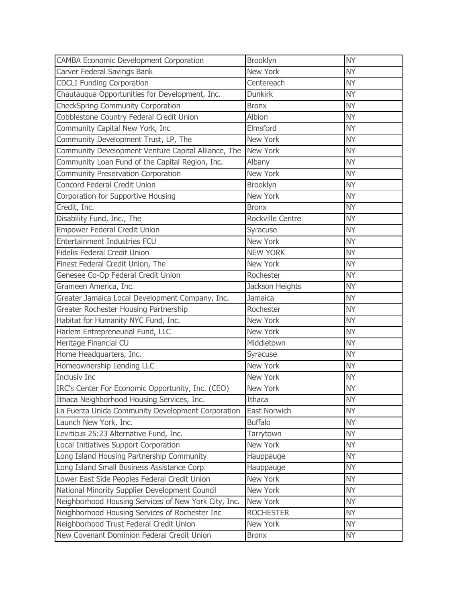| <b>CAMBA Economic Development Corporation</b>        | Brooklyn         | <b>NY</b> |
|------------------------------------------------------|------------------|-----------|
| Carver Federal Savings Bank                          | New York         | <b>NY</b> |
| <b>CDCLI Funding Corporation</b>                     | Centereach       | <b>NY</b> |
| Chautauqua Opportunities for Development, Inc.       | <b>Dunkirk</b>   | <b>NY</b> |
| CheckSpring Community Corporation                    | <b>Bronx</b>     | <b>NY</b> |
| Cobblestone Country Federal Credit Union             | Albion           | <b>NY</b> |
| Community Capital New York, Inc                      | Elmsford         | <b>NY</b> |
| Community Development Trust, LP, The                 | New York         | <b>NY</b> |
| Community Development Venture Capital Alliance, The  | New York         | <b>NY</b> |
| Community Loan Fund of the Capital Region, Inc.      | Albany           | <b>NY</b> |
| <b>Community Preservation Corporation</b>            | New York         | <b>NY</b> |
| Concord Federal Credit Union                         | <b>Brooklyn</b>  | <b>NY</b> |
| Corporation for Supportive Housing                   | New York         | <b>NY</b> |
| Credit, Inc.                                         | <b>Bronx</b>     | <b>NY</b> |
| Disability Fund, Inc., The                           | Rockville Centre | <b>NY</b> |
| <b>Empower Federal Credit Union</b>                  | Syracuse         | <b>NY</b> |
| Entertainment Industries FCU                         | New York         | <b>NY</b> |
| <b>Fidelis Federal Credit Union</b>                  | <b>NEW YORK</b>  | <b>NY</b> |
| Finest Federal Credit Union, The                     | New York         | <b>NY</b> |
| Genesee Co-Op Federal Credit Union                   | Rochester        | <b>NY</b> |
| Grameen America, Inc.                                | Jackson Heights  | <b>NY</b> |
| Greater Jamaica Local Development Company, Inc.      | Jamaica          | <b>NY</b> |
| Greater Rochester Housing Partnership                | Rochester        | <b>NY</b> |
| Habitat for Humanity NYC Fund, Inc.                  | New York         | <b>NY</b> |
| Harlem Entrepreneurial Fund, LLC                     | New York         | <b>NY</b> |
| Heritage Financial CU                                | Middletown       | <b>NY</b> |
| Home Headquarters, Inc.                              | Syracuse         | <b>NY</b> |
| Homeownership Lending LLC                            | New York         | <b>NY</b> |
| <b>Inclusiv Inc</b>                                  | New York         | <b>NY</b> |
| IRC's Center For Economic Opportunity, Inc. (CEO)    | New York         | <b>NY</b> |
| Ithaca Neighborhood Housing Services, Inc.           | Ithaca           | <b>NY</b> |
| La Fuerza Unida Community Development Corporation    | East Norwich     | <b>NY</b> |
| Launch New York, Inc.                                | <b>Buffalo</b>   | <b>NY</b> |
| Leviticus 25:23 Alternative Fund, Inc.               | Tarrytown        | <b>NY</b> |
| Local Initiatives Support Corporation                | New York         | <b>NY</b> |
| Long Island Housing Partnership Community            | Hauppauge        | <b>NY</b> |
| Long Island Small Business Assistance Corp.          | Hauppauge        | <b>NY</b> |
| Lower East Side Peoples Federal Credit Union         | New York         | <b>NY</b> |
| National Minority Supplier Development Council       | New York         | <b>NY</b> |
| Neighborhood Housing Services of New York City, Inc. | New York         | <b>NY</b> |
| Neighborhood Housing Services of Rochester Inc       | <b>ROCHESTER</b> | <b>NY</b> |
| Neighborhood Trust Federal Credit Union              | New York         | <b>NY</b> |
| New Covenant Dominion Federal Credit Union           | <b>Bronx</b>     | <b>NY</b> |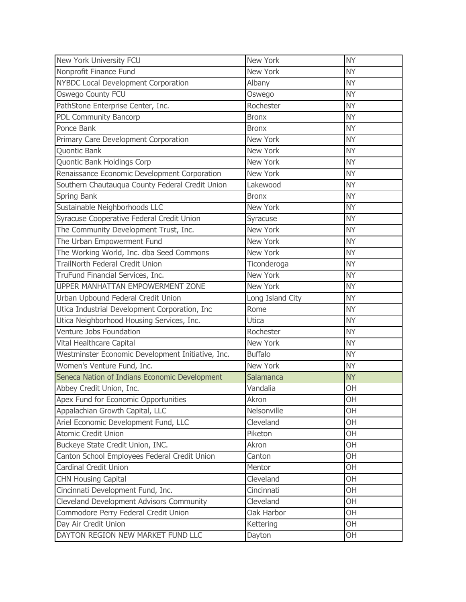| New York University FCU                           | New York         | <b>NY</b> |
|---------------------------------------------------|------------------|-----------|
| Nonprofit Finance Fund                            | New York         | <b>NY</b> |
| NYBDC Local Development Corporation               | Albany           | <b>NY</b> |
| Oswego County FCU                                 | Oswego           | <b>NY</b> |
| PathStone Enterprise Center, Inc.                 | Rochester        | <b>NY</b> |
| PDL Community Bancorp                             | <b>Bronx</b>     | <b>NY</b> |
| Ponce Bank                                        | <b>Bronx</b>     | <b>NY</b> |
| Primary Care Development Corporation              | New York         | <b>NY</b> |
| Quontic Bank                                      | New York         | <b>NY</b> |
| Quontic Bank Holdings Corp                        | New York         | <b>NY</b> |
| Renaissance Economic Development Corporation      | New York         | <b>NY</b> |
| Southern Chautauqua County Federal Credit Union   | Lakewood         | <b>NY</b> |
| Spring Bank                                       | <b>Bronx</b>     | <b>NY</b> |
| Sustainable Neighborhoods LLC                     | New York         | <b>NY</b> |
| Syracuse Cooperative Federal Credit Union         | Syracuse         | <b>NY</b> |
| The Community Development Trust, Inc.             | New York         | <b>NY</b> |
| The Urban Empowerment Fund                        | New York         | <b>NY</b> |
| The Working World, Inc. dba Seed Commons          | New York         | <b>NY</b> |
| TrailNorth Federal Credit Union                   | Ticonderoga      | <b>NY</b> |
| TruFund Financial Services, Inc.                  | New York         | <b>NY</b> |
| UPPER MANHATTAN EMPOWERMENT ZONE                  | New York         | <b>NY</b> |
| Urban Upbound Federal Credit Union                | Long Island City | <b>NY</b> |
| Utica Industrial Development Corporation, Inc     | Rome             | <b>NY</b> |
| Utica Neighborhood Housing Services, Inc.         | <b>Utica</b>     | <b>NY</b> |
| Venture Jobs Foundation                           | Rochester        | <b>NY</b> |
| Vital Healthcare Capital                          | New York         | <b>NY</b> |
| Westminster Economic Development Initiative, Inc. | <b>Buffalo</b>   | <b>NY</b> |
| Women's Venture Fund, Inc.                        | New York         | <b>NY</b> |
| Seneca Nation of Indians Economic Development     | Salamanca        | <b>NY</b> |
| Abbey Credit Union, Inc.                          | Vandalia         | OH        |
| Apex Fund for Economic Opportunities              | Akron            | OH        |
| Appalachian Growth Capital, LLC                   | Nelsonville      | OH        |
| Ariel Economic Development Fund, LLC              | Cleveland        | <b>OH</b> |
| <b>Atomic Credit Union</b>                        | Piketon          | OH        |
| Buckeye State Credit Union, INC.                  | Akron            | OH        |
| Canton School Employees Federal Credit Union      | Canton           | OH        |
| Cardinal Credit Union                             | Mentor           | OH        |
| <b>CHN Housing Capital</b>                        | Cleveland        | OH        |
| Cincinnati Development Fund, Inc.                 | Cincinnati       | OH        |
| Cleveland Development Advisors Community          | Cleveland        | OH        |
| Commodore Perry Federal Credit Union              | Oak Harbor       | OH        |
| Day Air Credit Union                              | Kettering        | OH        |
| DAYTON REGION NEW MARKET FUND LLC                 | Dayton           | <b>OH</b> |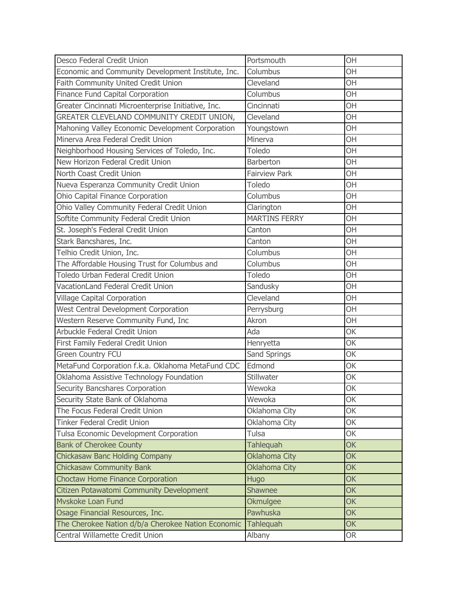| Desco Federal Credit Union                          | Portsmouth           | OH        |
|-----------------------------------------------------|----------------------|-----------|
| Economic and Community Development Institute, Inc.  | Columbus             | OH        |
| Faith Community United Credit Union                 | Cleveland            | OH        |
| Finance Fund Capital Corporation                    | Columbus             | OH        |
| Greater Cincinnati Microenterprise Initiative, Inc. | Cincinnati           | OH        |
| GREATER CLEVELAND COMMUNITY CREDIT UNION,           | Cleveland            | OH        |
| Mahoning Valley Economic Development Corporation    | Youngstown           | OH        |
| Minerva Area Federal Credit Union                   | Minerva              | <b>OH</b> |
| Neighborhood Housing Services of Toledo, Inc.       | Toledo               | OH        |
| New Horizon Federal Credit Union                    | Barberton            | <b>OH</b> |
| North Coast Credit Union                            | <b>Fairview Park</b> | OH        |
| Nueva Esperanza Community Credit Union              | Toledo               | OH        |
| Ohio Capital Finance Corporation                    | Columbus             | OH        |
| Ohio Valley Community Federal Credit Union          | Clarington           | OH        |
| Softite Community Federal Credit Union              | <b>MARTINS FERRY</b> | OH        |
| St. Joseph's Federal Credit Union                   | Canton               | OH        |
| Stark Bancshares, Inc.                              | Canton               | OH        |
| Telhio Credit Union, Inc.                           | Columbus             | <b>OH</b> |
| The Affordable Housing Trust for Columbus and       | Columbus             | OH        |
| Toledo Urban Federal Credit Union                   | Toledo               | OH        |
| VacationLand Federal Credit Union                   | Sandusky             | OH        |
| <b>Village Capital Corporation</b>                  | Cleveland            | OH        |
| West Central Development Corporation                | Perrysburg           | OH        |
| Western Reserve Community Fund, Inc                 | Akron                | OH        |
| Arbuckle Federal Credit Union                       | Ada                  | OK        |
| First Family Federal Credit Union                   | Henryetta            | OK        |
| <b>Green Country FCU</b>                            | Sand Springs         | OK        |
| MetaFund Corporation f.k.a. Oklahoma MetaFund CDC   | Edmond               | OK        |
| Oklahoma Assistive Technology Foundation            | Stillwater           | OK        |
| Security Bancshares Corporation                     | Wewoka               | OK        |
| Security State Bank of Oklahoma                     | Wewoka               | OK        |
| The Focus Federal Credit Union                      | Oklahoma City        | <b>OK</b> |
| <b>Tinker Federal Credit Union</b>                  | Oklahoma City        | <b>OK</b> |
| Tulsa Economic Development Corporation              | Tulsa                | OK        |
| <b>Bank of Cherokee County</b>                      | <b>Tahlequah</b>     | <b>OK</b> |
| <b>Chickasaw Banc Holding Company</b>               | <b>Oklahoma City</b> | <b>OK</b> |
| <b>Chickasaw Community Bank</b>                     | <b>Oklahoma City</b> | <b>OK</b> |
| Choctaw Home Finance Corporation                    | <b>Hugo</b>          | <b>OK</b> |
| Citizen Potawatomi Community Development            | <b>Shawnee</b>       | <b>OK</b> |
| Myskoke Loan Fund                                   | Okmulgee             | <b>OK</b> |
| Osage Financial Resources, Inc.                     | Pawhuska             | <b>OK</b> |
| The Cherokee Nation d/b/a Cherokee Nation Economic  | <b>Tahlequah</b>     | <b>OK</b> |
| Central Willamette Credit Union                     | Albany               | <b>OR</b> |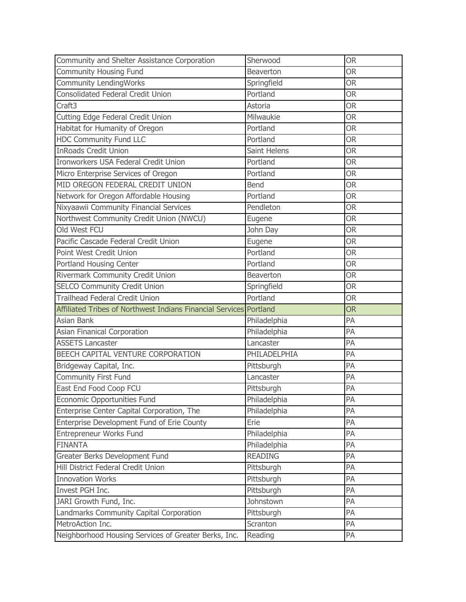| Community and Shelter Assistance Corporation                       | Sherwood       | <b>OR</b> |
|--------------------------------------------------------------------|----------------|-----------|
| <b>Community Housing Fund</b>                                      | Beaverton      | <b>OR</b> |
| <b>Community LendingWorks</b>                                      | Springfield    | <b>OR</b> |
| <b>Consolidated Federal Credit Union</b>                           | Portland       | <b>OR</b> |
| Craft3                                                             | Astoria        | <b>OR</b> |
| Cutting Edge Federal Credit Union                                  | Milwaukie      | <b>OR</b> |
| Habitat for Humanity of Oregon                                     | Portland       | <b>OR</b> |
| <b>HDC Community Fund LLC</b>                                      | Portland       | <b>OR</b> |
| <b>InRoads Credit Union</b>                                        | Saint Helens   | <b>OR</b> |
| Ironworkers USA Federal Credit Union                               | Portland       | <b>OR</b> |
| Micro Enterprise Services of Oregon                                | Portland       | <b>OR</b> |
| MID OREGON FEDERAL CREDIT UNION                                    | <b>Bend</b>    | <b>OR</b> |
| Network for Oregon Affordable Housing                              | Portland       | <b>OR</b> |
| Nixyaawii Community Financial Services                             | Pendleton      | <b>OR</b> |
| Northwest Community Credit Union (NWCU)                            | Eugene         | <b>OR</b> |
| Old West FCU                                                       | John Day       | <b>OR</b> |
| Pacific Cascade Federal Credit Union                               | Eugene         | <b>OR</b> |
| Point West Credit Union                                            | Portland       | <b>OR</b> |
| Portland Housing Center                                            | Portland       | <b>OR</b> |
| Rivermark Community Credit Union                                   | Beaverton      | <b>OR</b> |
| SELCO Community Credit Union                                       | Springfield    | <b>OR</b> |
| <b>Trailhead Federal Credit Union</b>                              | Portland       | <b>OR</b> |
| Affiliated Tribes of Northwest Indians Financial Services Portland |                | <b>OR</b> |
| Asian Bank                                                         | Philadelphia   | PA        |
| Asian Finanical Corporation                                        | Philadelphia   | PA        |
| <b>ASSETS Lancaster</b>                                            | Lancaster      | PA        |
| BEECH CAPITAL VENTURE CORPORATION                                  | PHILADELPHIA   | PA        |
| Bridgeway Capital, Inc.                                            | Pittsburgh     | PA        |
| Community First Fund                                               | Lancaster      | PA        |
| East End Food Coop FCU                                             | Pittsburgh     | PA        |
| <b>Economic Opportunities Fund</b>                                 | Philadelphia   | PA        |
| Enterprise Center Capital Corporation, The                         | Philadelphia   | PA        |
| Enterprise Development Fund of Erie County                         | Erie           | PA        |
| Entrepreneur Works Fund                                            | Philadelphia   | PA        |
| <b>FINANTA</b>                                                     | Philadelphia   | PA        |
| Greater Berks Development Fund                                     | <b>READING</b> | PA        |
| Hill District Federal Credit Union                                 | Pittsburgh     | PA        |
| <b>Innovation Works</b>                                            | Pittsburgh     | PA        |
| Invest PGH Inc.                                                    | Pittsburgh     | PA        |
| JARI Growth Fund, Inc.                                             | Johnstown      | PA        |
| Landmarks Community Capital Corporation                            | Pittsburgh     | PA        |
| MetroAction Inc.                                                   | Scranton       | PA        |
| Neighborhood Housing Services of Greater Berks, Inc.               | Reading        | PA        |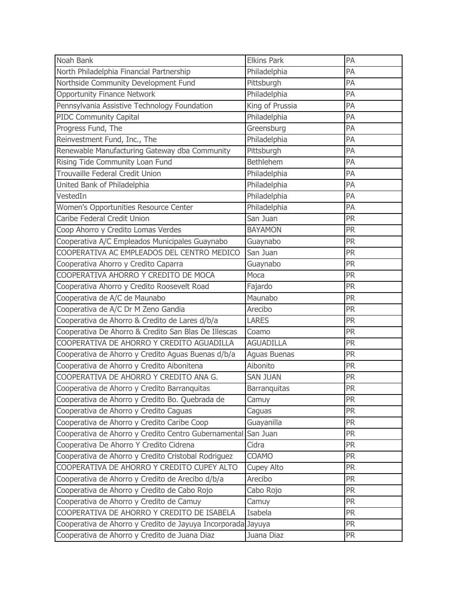| Noah Bank                                                     | <b>Elkins Park</b>  | PA        |
|---------------------------------------------------------------|---------------------|-----------|
| North Philadelphia Financial Partnership                      | Philadelphia        | PA        |
| Northside Community Development Fund                          | Pittsburgh          | PA        |
| <b>Opportunity Finance Network</b>                            | Philadelphia        | PA        |
| Pennsylvania Assistive Technology Foundation                  | King of Prussia     | PA        |
| <b>PIDC Community Capital</b>                                 | Philadelphia        | PA        |
| Progress Fund, The                                            | Greensburg          | PA        |
| Reinvestment Fund, Inc., The                                  | Philadelphia        | PA        |
| Renewable Manufacturing Gateway dba Community                 | Pittsburgh          | PA        |
| Rising Tide Community Loan Fund                               | <b>Bethlehem</b>    | PA        |
| Trouvaille Federal Credit Union                               | Philadelphia        | PA        |
| United Bank of Philadelphia                                   | Philadelphia        | PA        |
| VestedIn                                                      | Philadelphia        | PA        |
| Women's Opportunities Resource Center                         | Philadelphia        | PA        |
| Caribe Federal Credit Union                                   | San Juan            | <b>PR</b> |
| Coop Ahorro y Credito Lomas Verdes                            | <b>BAYAMON</b>      | <b>PR</b> |
| Cooperativa A/C Empleados Municipales Guaynabo                | Guaynabo            | PR        |
| COOPERATIVA AC EMPLEADOS DEL CENTRO MEDICO                    | San Juan            | <b>PR</b> |
| Cooperativa Ahorro y Credito Caparra                          | Guaynabo            | PR        |
| COOPERATIVA AHORRO Y CREDITO DE MOCA                          | Moca                | <b>PR</b> |
| Cooperativa Ahorro y Credito Roosevelt Road                   | Fajardo             | PR        |
| Cooperativa de A/C de Maunabo                                 | Maunabo             | <b>PR</b> |
| Cooperativa de A/C Dr M Zeno Gandia                           | Arecibo             | <b>PR</b> |
| Cooperativa de Ahorro & Credito de Lares d/b/a                | <b>LARES</b>        | <b>PR</b> |
| Cooperativa De Ahorro & Credito San Blas De Illescas          | Coamo               | <b>PR</b> |
| COOPERATIVA DE AHORRO Y CREDITO AGUADILLA                     | <b>AGUADILLA</b>    | <b>PR</b> |
| Cooperativa de Ahorro y Credito Aguas Buenas d/b/a            | <b>Aguas Buenas</b> | <b>PR</b> |
| Cooperativa de Ahorro y Credito Aibonitena                    | Aibonito            | <b>PR</b> |
| COOPERATIVA DE AHORRO Y CREDITO ANA G.                        | <b>SAN JUAN</b>     | <b>PR</b> |
| Cooperativa de Ahorro y Credito Barranquitas                  | <b>Barranquitas</b> | <b>PR</b> |
| Cooperativa de Ahorro y Credito Bo. Quebrada de               | Camuy               | <b>PR</b> |
| Cooperativa de Ahorro y Credito Caguas                        | Caguas              | <b>PR</b> |
| Cooperativa de Ahorro y Credito Caribe Coop                   | Guayanilla          | <b>PR</b> |
| Cooperativa de Ahorro y Credito Centro Gubernamental San Juan |                     | <b>PR</b> |
| Cooperativa De Ahorro Y Credito Cidrena                       | Cidra               | <b>PR</b> |
| Cooperativa de Ahorro y Credito Cristobal Rodriguez           | <b>COAMO</b>        | <b>PR</b> |
| COOPERATIVA DE AHORRO Y CREDITO CUPEY ALTO                    | <b>Cupey Alto</b>   | <b>PR</b> |
| Cooperativa de Ahorro y Credito de Arecibo d/b/a              | Arecibo             | <b>PR</b> |
| Cooperativa de Ahorro y Credito de Cabo Rojo                  | Cabo Rojo           | <b>PR</b> |
| Cooperativa de Ahorro y Credito de Camuy                      | Camuy               | <b>PR</b> |
| COOPERATIVA DE AHORRO Y CREDITO DE ISABELA                    | Isabela             | <b>PR</b> |
| Cooperativa de Ahorro y Credito de Jayuya Incorporada Jayuya  |                     | <b>PR</b> |
| Cooperativa de Ahorro y Credito de Juana Diaz                 | Juana Diaz          | <b>PR</b> |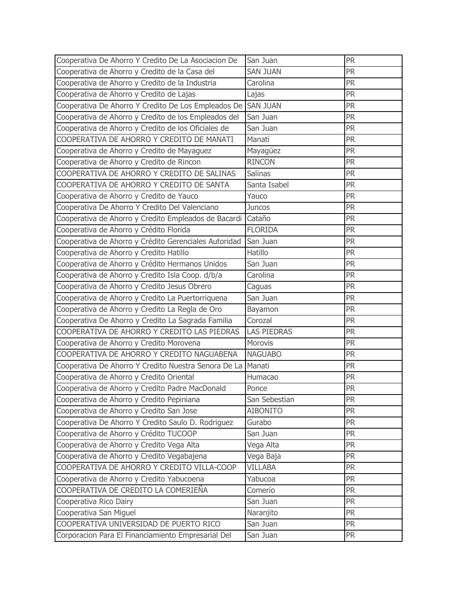| Cooperativa De Ahorro Y Credito De La Asociacion De   | San Juan           | <b>PR</b> |
|-------------------------------------------------------|--------------------|-----------|
| Cooperativa de Ahorro y Credito de la Casa del        | <b>SAN JUAN</b>    | <b>PR</b> |
| Cooperativa de Ahorro y Credito de la Industria       | Carolina           | <b>PR</b> |
| Cooperativa de Ahorro y Credito de Lajas              | Lajas              | <b>PR</b> |
| Cooperativa De Ahorro Y Credito De Los Empleados De   | <b>SAN JUAN</b>    | <b>PR</b> |
| Cooperativa de Ahorro y Credito de los Empleados del  | San Juan           | <b>PR</b> |
| Cooperativa de Ahorro y Credito de los Oficiales de   | San Juan           | <b>PR</b> |
| COOPERATIVA DE AHORRO Y CREDITO DE MANATI             | Manati             | <b>PR</b> |
| Cooperativa de Ahorro y Credito de Mayaguez           | Mayagüez           | <b>PR</b> |
| Cooperativa de Ahorro y Credito de Rincon             | <b>RINCON</b>      | <b>PR</b> |
| COOPERATIVA DE AHORRO Y CREDITO DE SALINAS            | <b>Salinas</b>     | <b>PR</b> |
| COOPERATIVA DE AHORRO Y CREDITO DE SANTA              | Santa Isabel       | <b>PR</b> |
| Cooperativa de Ahorro y Credito de Yauco              | Yauco              | <b>PR</b> |
| Cooperativa De Ahorro Y Credito Del Valenciano        | <b>Juncos</b>      | <b>PR</b> |
| Cooperativa de Ahorro y Credito Empleados de Bacardi  | Cataño             | <b>PR</b> |
| Cooperativa de Ahorro y Crédito Florida               | <b>FLORIDA</b>     | <b>PR</b> |
| Cooperativa de Ahorro y Crédito Gerenciales Autoridad | San Juan           | <b>PR</b> |
| Cooperativa de Ahorro y Credito Hatillo               | Hatillo            | <b>PR</b> |
| Cooperativa de Ahorro y Crédito Hermanos Unidos       | San Juan           | <b>PR</b> |
| Cooperativa de Ahorro y Credito Isla Coop. d/b/a      | Carolina           | <b>PR</b> |
| Cooperativa de Ahorro y Credito Jesus Obrero          | Caguas             | <b>PR</b> |
| Cooperativa de Ahorro y Credito La Puertorriquena     | San Juan           | <b>PR</b> |
| Cooperativa de Ahorro y Credito La Regla de Oro       | Bayamon            | <b>PR</b> |
| Cooperativa De Ahorro y Credito La Sagrada Familia    | Corozal            | <b>PR</b> |
| COOPERATIVA DE AHORRO Y CREDITO LAS PIEDRAS           | <b>LAS PIEDRAS</b> | <b>PR</b> |
| Cooperativa de Ahorro y Credito Morovena              | Morovis            | <b>PR</b> |
| COOPERATIVA DE AHORRO Y CREDITO NAGUABENA             | <b>NAGUABO</b>     | <b>PR</b> |
| Cooperativa De Ahorro Y Credito Nuestra Senora De La  | Manati             | <b>PR</b> |
| Cooperativa de Ahorro y Credito Oriental              | Humacao            | <b>PR</b> |
| Cooperativa de Ahorro y Credito Padre MacDonald       | Ponce              | <b>PR</b> |
| Cooperativa de Ahorro y Credito Pepiniana             | San Sebestian      | <b>PR</b> |
| Cooperativa de Ahorro y Credito San Jose              | <b>AIBONITO</b>    | <b>PR</b> |
| Cooperativa De Ahorro Y Credito Saulo D. Rodriguez    | Gurabo             | <b>PR</b> |
| Cooperativa de Ahorro y Crédito TUCOOP                | San Juan           | <b>PR</b> |
| Cooperativa de Ahorro y Credito Vega Alta             | Vega Alta          | <b>PR</b> |
| Cooperativa de Ahorro y Credito Vegabajena            | Vega Baja          | <b>PR</b> |
| COOPERATIVA DE AHORRO Y CREDITO VILLA-COOP            | <b>VILLABA</b>     | <b>PR</b> |
| Cooperativa de Ahorro y Credito Yabucoena             | Yabucoa            | <b>PR</b> |
| COOPERATIVA DE CREDITO LA COMERIEÑA                   | Comerío            | <b>PR</b> |
| Cooperativa Rico Dairy                                | San Juan           | <b>PR</b> |
| Cooperativa San Miguel                                | Naranjito          | <b>PR</b> |
| COOPERATIVA UNIVERSIDAD DE PUERTO RICO                | San Juan           | <b>PR</b> |
| Corporacion Para El Financiamiento Empresarial Del    | San Juan           | <b>PR</b> |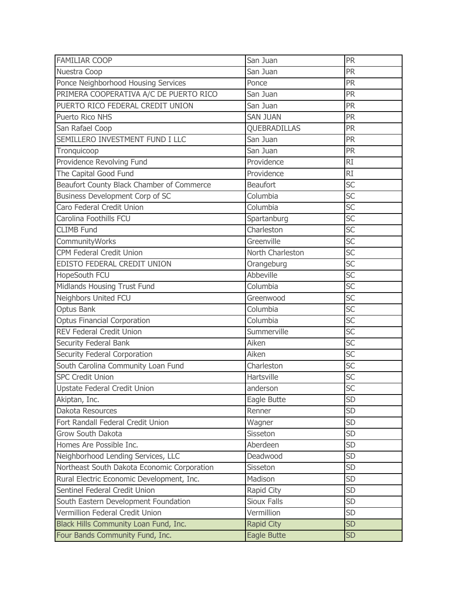| <b>FAMILIAR COOP</b>                        | San Juan           | PR        |
|---------------------------------------------|--------------------|-----------|
| Nuestra Coop                                | San Juan           | <b>PR</b> |
| Ponce Neighborhood Housing Services         | Ponce              | <b>PR</b> |
| PRIMERA COOPERATIVA A/C DE PUERTO RICO      | San Juan           | <b>PR</b> |
| PUERTO RICO FEDERAL CREDIT UNION            | San Juan           | PR        |
| Puerto Rico NHS                             | <b>SAN JUAN</b>    | <b>PR</b> |
| San Rafael Coop                             | QUEBRADILLAS       | <b>PR</b> |
| SEMILLERO INVESTMENT FUND I LLC             | San Juan           | <b>PR</b> |
| Tronquicoop                                 | San Juan           | PR        |
| Providence Revolving Fund                   | Providence         | <b>RI</b> |
| The Capital Good Fund                       | Providence         | <b>RI</b> |
| Beaufort County Black Chamber of Commerce   | <b>Beaufort</b>    | <b>SC</b> |
| Business Development Corp of SC             | Columbia           | SC        |
| Caro Federal Credit Union                   | Columbia           | <b>SC</b> |
| Carolina Foothills FCU                      | Spartanburg        | SC        |
| <b>CLIMB Fund</b>                           | Charleston         | SC        |
| CommunityWorks                              | Greenville         | SC        |
| <b>CPM Federal Credit Union</b>             | North Charleston   | SC        |
| EDISTO FEDERAL CREDIT UNION                 | Orangeburg         | <b>SC</b> |
| HopeSouth FCU                               | <b>Abbeville</b>   | SC        |
| Midlands Housing Trust Fund                 | Columbia           | SC        |
| Neighbors United FCU                        | Greenwood          | SC        |
| <b>Optus Bank</b>                           | Columbia           | SC        |
| <b>Optus Financial Corporation</b>          | Columbia           | SC        |
| <b>REV Federal Credit Union</b>             | Summerville        | SC        |
| Security Federal Bank                       | Aiken              | SC        |
| Security Federal Corporation                | Aiken              | SC        |
| South Carolina Community Loan Fund          | Charleston         | SC        |
| <b>SPC Credit Union</b>                     | Hartsville         | SC        |
| Upstate Federal Credit Union                | anderson           | SC        |
| Akiptan, Inc.                               | Eagle Butte        | <b>SD</b> |
| Dakota Resources                            | Renner             | <b>SD</b> |
| Fort Randall Federal Credit Union           | Wagner             | <b>SD</b> |
| Grow South Dakota                           | Sisseton           | <b>SD</b> |
| Homes Are Possible Inc.                     | Aberdeen           | <b>SD</b> |
| Neighborhood Lending Services, LLC          | Deadwood           | SD        |
| Northeast South Dakota Economic Corporation | Sisseton           | <b>SD</b> |
| Rural Electric Economic Development, Inc.   | Madison            | <b>SD</b> |
| Sentinel Federal Credit Union               | Rapid City         | <b>SD</b> |
| South Eastern Development Foundation        | <b>Sioux Falls</b> | <b>SD</b> |
| Vermillion Federal Credit Union             | Vermillion         | <b>SD</b> |
| Black Hills Community Loan Fund, Inc.       | <b>Rapid City</b>  | <b>SD</b> |
| Four Bands Community Fund, Inc.             | Eagle Butte        | <b>SD</b> |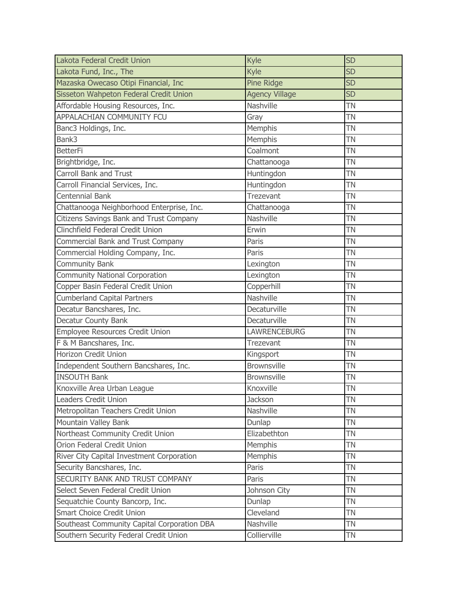| Lakota Federal Credit Union                 | Kyle                  | <b>SD</b> |
|---------------------------------------------|-----------------------|-----------|
| Lakota Fund, Inc., The                      | Kyle                  | <b>SD</b> |
| Mazaska Owecaso Otipi Financial, Inc        | Pine Ridge            | <b>SD</b> |
| Sisseton Wahpeton Federal Credit Union      | <b>Agency Village</b> | <b>SD</b> |
| Affordable Housing Resources, Inc.          | Nashville             | <b>TN</b> |
| APPALACHIAN COMMUNITY FCU                   | Gray                  | <b>TN</b> |
| Banc3 Holdings, Inc.                        | Memphis               | <b>TN</b> |
| Bank3                                       | Memphis               | <b>TN</b> |
| <b>BetterFi</b>                             | Coalmont              | <b>TN</b> |
| Brightbridge, Inc.                          | Chattanooga           | <b>TN</b> |
| <b>Carroll Bank and Trust</b>               | Huntingdon            | <b>TN</b> |
| Carroll Financial Services, Inc.            | Huntingdon            | <b>TN</b> |
| Centennial Bank                             | Trezevant             | <b>TN</b> |
| Chattanooga Neighborhood Enterprise, Inc.   | Chattanooga           | <b>TN</b> |
| Citizens Savings Bank and Trust Company     | Nashville             | <b>TN</b> |
| Clinchfield Federal Credit Union            | Erwin                 | <b>TN</b> |
| Commercial Bank and Trust Company           | Paris                 | <b>TN</b> |
| Commercial Holding Company, Inc.            | Paris                 | TN        |
| <b>Community Bank</b>                       | Lexington             | TN        |
| Community National Corporation              | Lexington             | TN        |
| Copper Basin Federal Credit Union           | Copperhill            | <b>TN</b> |
| <b>Cumberland Capital Partners</b>          | Nashville             | TN        |
| Decatur Bancshares, Inc.                    | Decaturville          | TN        |
| <b>Decatur County Bank</b>                  | Decaturville          | TN        |
| Employee Resources Credit Union             | <b>LAWRENCEBURG</b>   | <b>TN</b> |
| F & M Bancshares, Inc.                      | Trezevant             | <b>TN</b> |
| <b>Horizon Credit Union</b>                 | Kingsport             | <b>TN</b> |
| Independent Southern Bancshares, Inc.       | <b>Brownsville</b>    | <b>TN</b> |
| <b>INSOUTH Bank</b>                         | <b>Brownsville</b>    | <b>TN</b> |
| Knoxville Area Urban League                 | Knoxville             | <b>TN</b> |
| <b>Leaders Credit Union</b>                 | Jackson               | ΤN        |
| Metropolitan Teachers Credit Union          | Nashville             | <b>TN</b> |
| Mountain Valley Bank                        | Dunlap                | <b>TN</b> |
| Northeast Community Credit Union            | Elizabethton          | TN        |
| Orion Federal Credit Union                  | Memphis               | TN        |
| River City Capital Investment Corporation   | Memphis               | TN        |
| Security Bancshares, Inc.                   | Paris                 | TN        |
| SECURITY BANK AND TRUST COMPANY             | Paris                 | <b>TN</b> |
| Select Seven Federal Credit Union           | Johnson City          | TN        |
| Sequatchie County Bancorp, Inc.             | Dunlap                | TN        |
| <b>Smart Choice Credit Union</b>            | Cleveland             | TN        |
| Southeast Community Capital Corporation DBA | Nashville             | TN        |
| Southern Security Federal Credit Union      | Collierville          | TN        |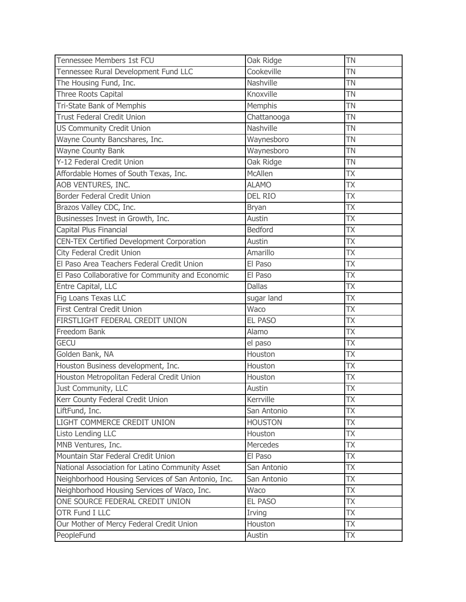| Tennessee Members 1st FCU                          | Oak Ridge       | ΤN        |
|----------------------------------------------------|-----------------|-----------|
| Tennessee Rural Development Fund LLC               | Cookeville      | <b>TN</b> |
| The Housing Fund, Inc.                             | Nashville       | TN        |
| Three Roots Capital                                | Knoxville       | <b>TN</b> |
| Tri-State Bank of Memphis                          | Memphis         | <b>TN</b> |
| <b>Trust Federal Credit Union</b>                  | Chattanooga     | TN        |
| <b>US Community Credit Union</b>                   | Nashville       | <b>TN</b> |
| Wayne County Bancshares, Inc.                      | Waynesboro      | <b>TN</b> |
| Wayne County Bank                                  | Waynesboro      | <b>TN</b> |
| Y-12 Federal Credit Union                          | Oak Ridge       | TN        |
| Affordable Homes of South Texas, Inc.              | McAllen         | <b>ΤΧ</b> |
| AOB VENTURES, INC.                                 | <b>ALAMO</b>    | <b>TX</b> |
| Border Federal Credit Union                        | <b>DEL RIO</b>  | ТX        |
| Brazos Valley CDC, Inc.                            | <b>Bryan</b>    | TΧ        |
| Businesses Invest in Growth, Inc.                  | Austin          | ТX        |
| Capital Plus Financial                             | <b>Bedford</b>  | ТX        |
| <b>CEN-TEX Certified Development Corporation</b>   | Austin          | TХ        |
| City Federal Credit Union                          | Amarillo        | TΧ        |
| El Paso Area Teachers Federal Credit Union         | El Paso         | <b>ΤΧ</b> |
| El Paso Collaborative for Community and Economic   | El Paso         | ТX        |
| Entre Capital, LLC                                 | <b>Dallas</b>   | ТX        |
| Fig Loans Texas LLC                                | sugar land      | ТX        |
| First Central Credit Union                         | Waco            | TΧ        |
| FIRSTLIGHT FEDERAL CREDIT UNION                    | <b>EL PASO</b>  | ТX        |
| Freedom Bank                                       | Alamo           | ТX        |
| <b>GECU</b>                                        | el paso         | ТX        |
| Golden Bank, NA                                    | Houston         | ТX        |
| Houston Business development, Inc.                 | Houston         | ТX        |
| Houston Metropolitan Federal Credit Union          | Houston         | <b>TX</b> |
| Just Community, LLC                                | Austin          | TΧ        |
| Kerr County Federal Credit Union                   | Kerrville       | ТX        |
| LiftFund, Inc.                                     | San Antonio     | ТX        |
| LIGHT COMMERCE CREDIT UNION                        | <b>HOUSTON</b>  | <b>TX</b> |
| Listo Lending LLC                                  | Houston         | TX        |
| MNB Ventures, Inc.                                 | <b>Mercedes</b> | TX        |
| Mountain Star Federal Credit Union                 | El Paso         | ТX        |
| National Association for Latino Community Asset    | San Antonio     | TX        |
| Neighborhood Housing Services of San Antonio, Inc. | San Antonio     | ТX        |
| Neighborhood Housing Services of Waco, Inc.        | Waco            | ТX        |
| ONE SOURCE FEDERAL CREDIT UNION                    | <b>EL PASO</b>  | ТX        |
| OTR Fund I LLC                                     | Irving          | ТX        |
| Our Mother of Mercy Federal Credit Union           | Houston         | <b>ΤΧ</b> |
| PeopleFund                                         | Austin          | <b>TX</b> |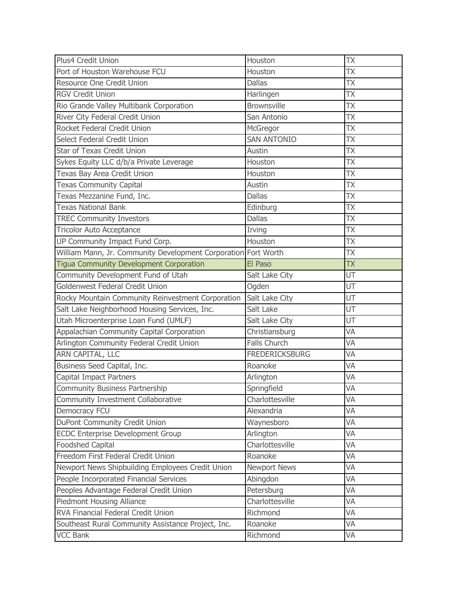| Plus4 Credit Union                                             | Houston               | TХ        |
|----------------------------------------------------------------|-----------------------|-----------|
| Port of Houston Warehouse FCU                                  | Houston               | ТX        |
| Resource One Credit Union                                      | <b>Dallas</b>         | ТX        |
| <b>RGV Credit Union</b>                                        | Harlingen             | <b>TX</b> |
| Rio Grande Valley Multibank Corporation                        | <b>Brownsville</b>    | TХ        |
| River City Federal Credit Union                                | San Antonio           | ТX        |
| Rocket Federal Credit Union                                    | McGregor              | ТX        |
| Select Federal Credit Union                                    | <b>SAN ANTONIO</b>    | <b>TX</b> |
| Star of Texas Credit Union                                     | Austin                | TΧ        |
| Sykes Equity LLC d/b/a Private Leverage                        | Houston               | TΧ        |
| Texas Bay Area Credit Union                                    | Houston               | <b>TX</b> |
| <b>Texas Community Capital</b>                                 | Austin                | <b>TX</b> |
| Texas Mezzanine Fund, Inc.                                     | <b>Dallas</b>         | <b>TX</b> |
| <b>Texas National Bank</b>                                     | Edinburg              | TΧ        |
| <b>TREC Community Investors</b>                                | <b>Dallas</b>         | <b>ΤΧ</b> |
| <b>Tricolor Auto Acceptance</b>                                | Irving                | <b>TX</b> |
| UP Community Impact Fund Corp.                                 | Houston               | TΧ        |
| William Mann, Jr. Community Development Corporation Fort Worth |                       | TΧ        |
| <b>Tigua Community Development Corporation</b>                 | El Paso               | <b>TX</b> |
| Community Development Fund of Utah                             | Salt Lake City        | UT        |
| Goldenwest Federal Credit Union                                | Ogden                 | UT        |
| Rocky Mountain Community Reinvestment Corporation              | Salt Lake City        | UT        |
| Salt Lake Neighborhood Housing Services, Inc.                  | Salt Lake             | UT        |
| Utah Microenterprise Loan Fund (UMLF)                          | Salt Lake City        | UT        |
| Appalachian Community Capital Corporation                      | Christiansburg        | VA        |
| Arlington Community Federal Credit Union                       | Falls Church          | VA        |
| ARN CAPITAL, LLC                                               | <b>FREDERICKSBURG</b> | VA        |
| Business Seed Capital, Inc.                                    | Roanoke               | VA        |
| Capital Impact Partners                                        | Arlington             | VA        |
| Community Business Partnership                                 | Springfield           | VA        |
| Community Investment Collaborative                             | Charlottesville       | VA        |
| Democracy FCU                                                  | Alexandria            | VA        |
| DuPont Community Credit Union                                  | Waynesboro            | VA        |
| <b>ECDC Enterprise Development Group</b>                       | Arlington             | VA        |
| <b>Foodshed Capital</b>                                        | Charlottesville       | VA        |
| Freedom First Federal Credit Union                             | Roanoke               | VA        |
| Newport News Shipbuilding Employees Credit Union               | <b>Newport News</b>   | VA        |
| People Incorporated Financial Services                         | Abingdon              | VA        |
| Peoples Advantage Federal Credit Union                         | Petersburg            | VA        |
| Piedmont Housing Alliance                                      | Charlottesville       | VA        |
| RVA Financial Federal Credit Union                             | Richmond              | VA        |
| Southeast Rural Community Assistance Project, Inc.             | Roanoke               | VA        |
| <b>VCC Bank</b>                                                | Richmond              | VA        |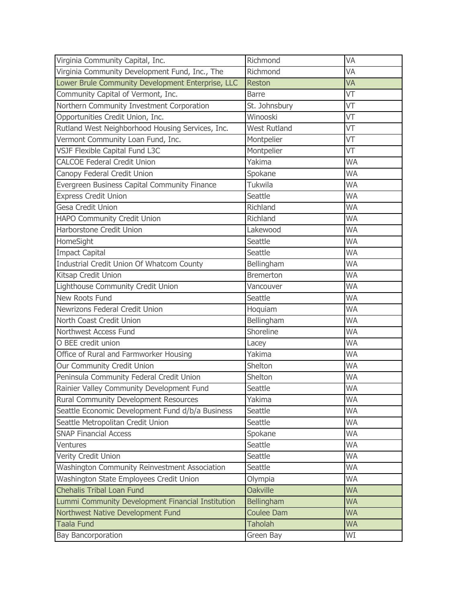| Virginia Community Capital, Inc.                  | Richmond            | VA        |
|---------------------------------------------------|---------------------|-----------|
| Virginia Community Development Fund, Inc., The    | Richmond            | VA        |
| Lower Brule Community Development Enterprise, LLC | <b>Reston</b>       | VA        |
| Community Capital of Vermont, Inc.                | <b>Barre</b>        | VT        |
| Northern Community Investment Corporation         | St. Johnsbury       | VT        |
| Opportunities Credit Union, Inc.                  | Winooski            | VT        |
| Rutland West Neighborhood Housing Services, Inc.  | <b>West Rutland</b> | VT        |
| Vermont Community Loan Fund, Inc.                 | Montpelier          | VT        |
| VSJF Flexible Capital Fund L3C                    | Montpelier          | VT        |
| <b>CALCOE Federal Credit Union</b>                | Yakima              | <b>WA</b> |
| Canopy Federal Credit Union                       | Spokane             | <b>WA</b> |
| Evergreen Business Capital Community Finance      | Tukwila             | <b>WA</b> |
| <b>Express Credit Union</b>                       | Seattle             | <b>WA</b> |
| Gesa Credit Union                                 | Richland            | <b>WA</b> |
| HAPO Community Credit Union                       | Richland            | <b>WA</b> |
| Harborstone Credit Union                          | Lakewood            | <b>WA</b> |
| HomeSight                                         | Seattle             | <b>WA</b> |
| <b>Impact Capital</b>                             | Seattle             | <b>WA</b> |
| Industrial Credit Union Of Whatcom County         | Bellingham          | <b>WA</b> |
| Kitsap Credit Union                               | <b>Bremerton</b>    | <b>WA</b> |
| Lighthouse Community Credit Union                 | Vancouver           | <b>WA</b> |
| New Roots Fund                                    | Seattle             | <b>WA</b> |
| Newrizons Federal Credit Union                    | Hoquiam             | <b>WA</b> |
| North Coast Credit Union                          | Bellingham          | WA        |
| Northwest Access Fund                             | Shoreline           | <b>WA</b> |
| O BEE credit union                                | Lacey               | <b>WA</b> |
| Office of Rural and Farmworker Housing            | Yakima              | <b>WA</b> |
| Our Community Credit Union                        | Shelton             | <b>WA</b> |
| Peninsula Community Federal Credit Union          | Shelton             | <b>WA</b> |
| Rainier Valley Community Development Fund         | Seattle             | <b>WA</b> |
| <b>Rural Community Development Resources</b>      | Yakima              | <b>WA</b> |
| Seattle Economic Development Fund d/b/a Business  | Seattle             | WA        |
| Seattle Metropolitan Credit Union                 | Seattle             | <b>WA</b> |
| <b>SNAP Financial Access</b>                      | Spokane             | <b>WA</b> |
| Ventures                                          | Seattle             | <b>WA</b> |
| Verity Credit Union                               | Seattle             | <b>WA</b> |
| Washington Community Reinvestment Association     | Seattle             | <b>WA</b> |
| Washington State Employees Credit Union           | Olympia             | <b>WA</b> |
| <b>Chehalis Tribal Loan Fund</b>                  | <b>Oakville</b>     | <b>WA</b> |
| Lummi Community Development Financial Institution | Bellingham          | <b>WA</b> |
| Northwest Native Development Fund                 | <b>Coulee Dam</b>   | <b>WA</b> |
| <b>Taala Fund</b>                                 | <b>Taholah</b>      | <b>WA</b> |
| <b>Bay Bancorporation</b>                         | Green Bay           | WI        |